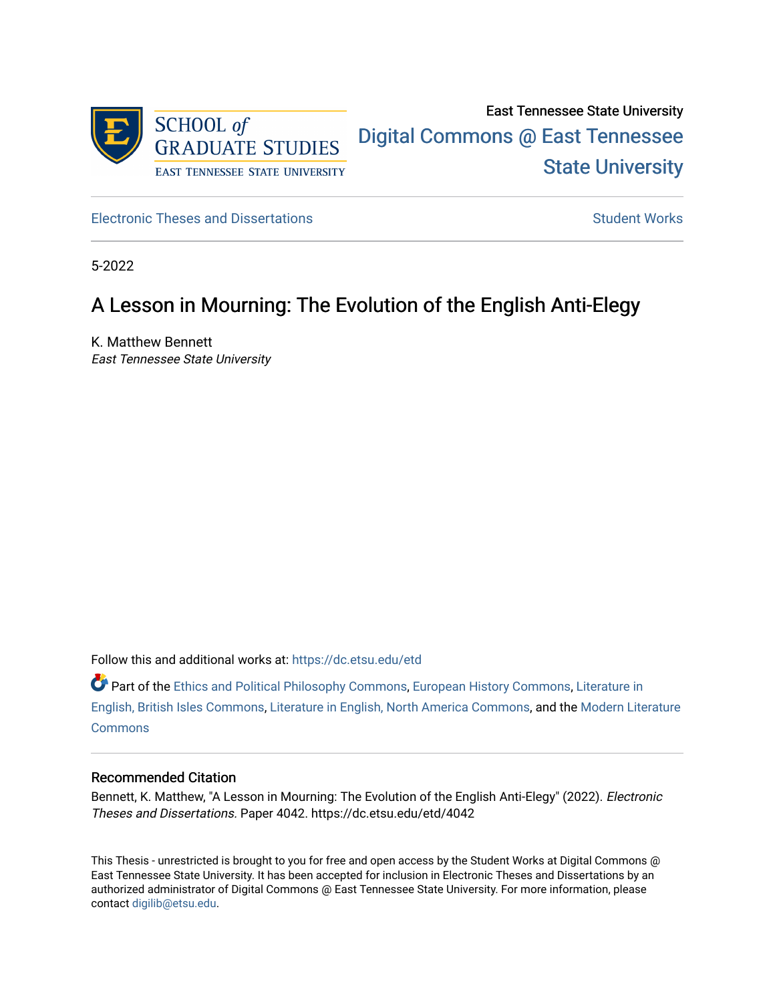

[Electronic Theses and Dissertations](https://dc.etsu.edu/etd) [Student Works](https://dc.etsu.edu/student-works) Student Works

5-2022

# A Lesson in Mourning: The Evolution of the English Anti-Elegy

K. Matthew Bennett East Tennessee State University

Follow this and additional works at: [https://dc.etsu.edu/etd](https://dc.etsu.edu/etd?utm_source=dc.etsu.edu%2Fetd%2F4042&utm_medium=PDF&utm_campaign=PDFCoverPages)

Part of the [Ethics and Political Philosophy Commons,](http://network.bepress.com/hgg/discipline/529?utm_source=dc.etsu.edu%2Fetd%2F4042&utm_medium=PDF&utm_campaign=PDFCoverPages) [European History Commons](http://network.bepress.com/hgg/discipline/492?utm_source=dc.etsu.edu%2Fetd%2F4042&utm_medium=PDF&utm_campaign=PDFCoverPages), [Literature in](http://network.bepress.com/hgg/discipline/456?utm_source=dc.etsu.edu%2Fetd%2F4042&utm_medium=PDF&utm_campaign=PDFCoverPages) [English, British Isles Commons,](http://network.bepress.com/hgg/discipline/456?utm_source=dc.etsu.edu%2Fetd%2F4042&utm_medium=PDF&utm_campaign=PDFCoverPages) [Literature in English, North America Commons,](http://network.bepress.com/hgg/discipline/458?utm_source=dc.etsu.edu%2Fetd%2F4042&utm_medium=PDF&utm_campaign=PDFCoverPages) and the [Modern Literature](http://network.bepress.com/hgg/discipline/1050?utm_source=dc.etsu.edu%2Fetd%2F4042&utm_medium=PDF&utm_campaign=PDFCoverPages)  [Commons](http://network.bepress.com/hgg/discipline/1050?utm_source=dc.etsu.edu%2Fetd%2F4042&utm_medium=PDF&utm_campaign=PDFCoverPages)

#### Recommended Citation

Bennett, K. Matthew, "A Lesson in Mourning: The Evolution of the English Anti-Elegy" (2022). Electronic Theses and Dissertations. Paper 4042. https://dc.etsu.edu/etd/4042

This Thesis - unrestricted is brought to you for free and open access by the Student Works at Digital Commons @ East Tennessee State University. It has been accepted for inclusion in Electronic Theses and Dissertations by an authorized administrator of Digital Commons @ East Tennessee State University. For more information, please contact [digilib@etsu.edu](mailto:digilib@etsu.edu).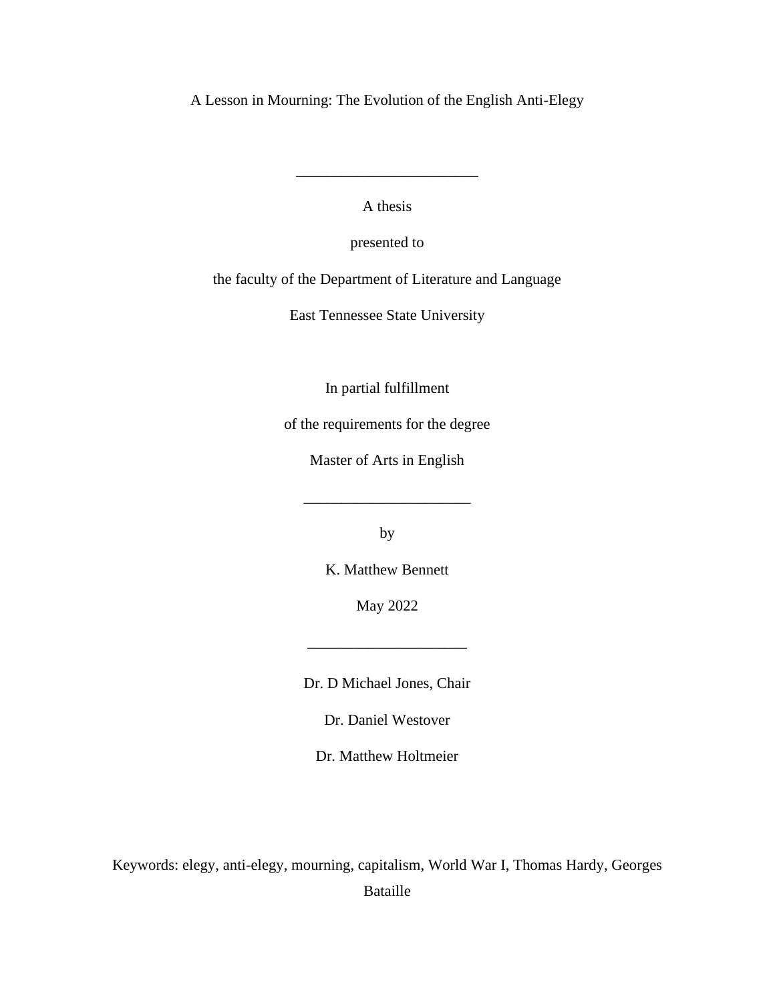A Lesson in Mourning: The Evolution of the English Anti-Elegy

A thesis

\_\_\_\_\_\_\_\_\_\_\_\_\_\_\_\_\_\_\_\_\_\_\_\_

presented to

the faculty of the Department of Literature and Language

East Tennessee State University

In partial fulfillment

of the requirements for the degree

Master of Arts in English

\_\_\_\_\_\_\_\_\_\_\_\_\_\_\_\_\_\_\_\_\_\_

by

K. Matthew Bennett

May 2022

\_\_\_\_\_\_\_\_\_\_\_\_\_\_\_\_\_\_\_\_\_

Dr. D Michael Jones, Chair

Dr. Daniel Westover

Dr. Matthew Holtmeier

Keywords: elegy, anti-elegy, mourning, capitalism, World War I, Thomas Hardy, Georges Bataille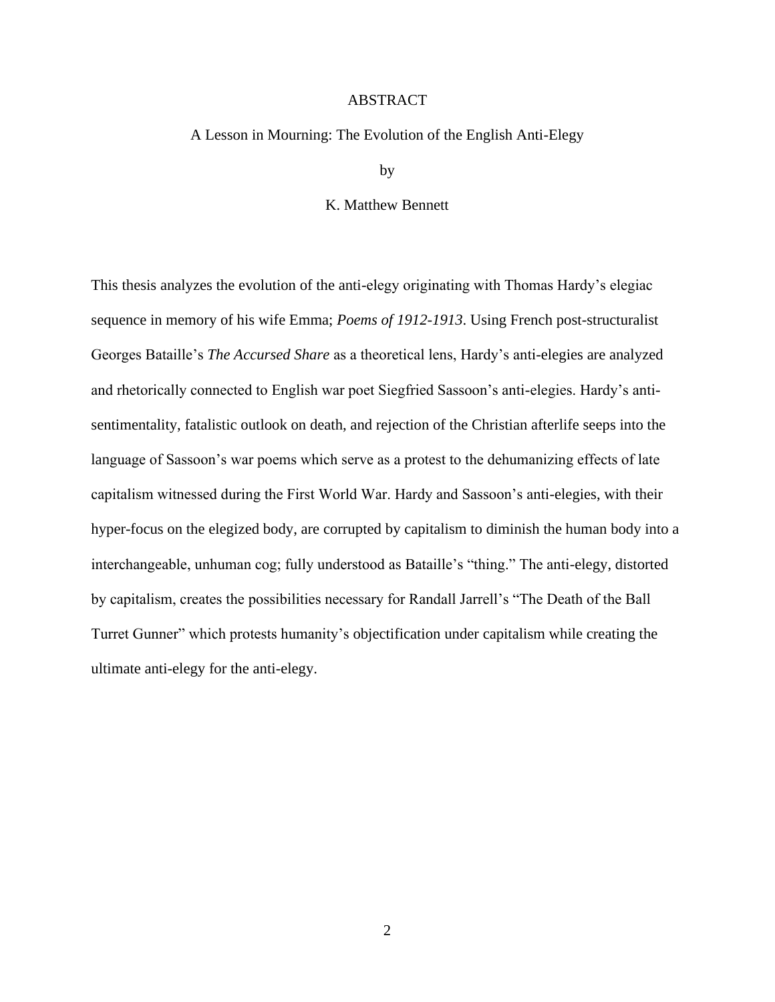#### ABSTRACT

#### <span id="page-2-0"></span>A Lesson in Mourning: The Evolution of the English Anti-Elegy

by

#### K. Matthew Bennett

This thesis analyzes the evolution of the anti-elegy originating with Thomas Hardy's elegiac sequence in memory of his wife Emma; *Poems of 1912-1913*. Using French post-structuralist Georges Bataille's *The Accursed Share* as a theoretical lens, Hardy's anti-elegies are analyzed and rhetorically connected to English war poet Siegfried Sassoon's anti-elegies. Hardy's antisentimentality, fatalistic outlook on death, and rejection of the Christian afterlife seeps into the language of Sassoon's war poems which serve as a protest to the dehumanizing effects of late capitalism witnessed during the First World War. Hardy and Sassoon's anti-elegies, with their hyper-focus on the elegized body, are corrupted by capitalism to diminish the human body into a interchangeable, unhuman cog; fully understood as Bataille's "thing." The anti-elegy, distorted by capitalism, creates the possibilities necessary for Randall Jarrell's "The Death of the Ball Turret Gunner" which protests humanity's objectification under capitalism while creating the ultimate anti-elegy for the anti-elegy.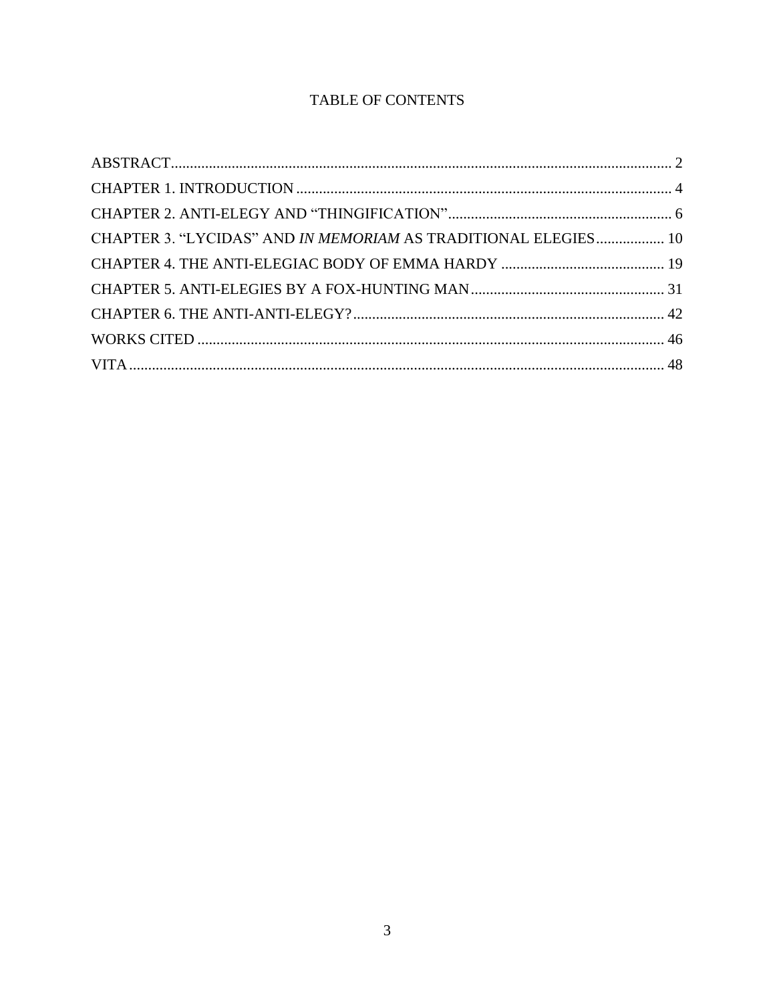# TABLE OF CONTENTS

| CHAPTER 3. "LYCIDAS" AND IN MEMORIAM AS TRADITIONAL ELEGIES 10 |  |
|----------------------------------------------------------------|--|
|                                                                |  |
|                                                                |  |
|                                                                |  |
|                                                                |  |
|                                                                |  |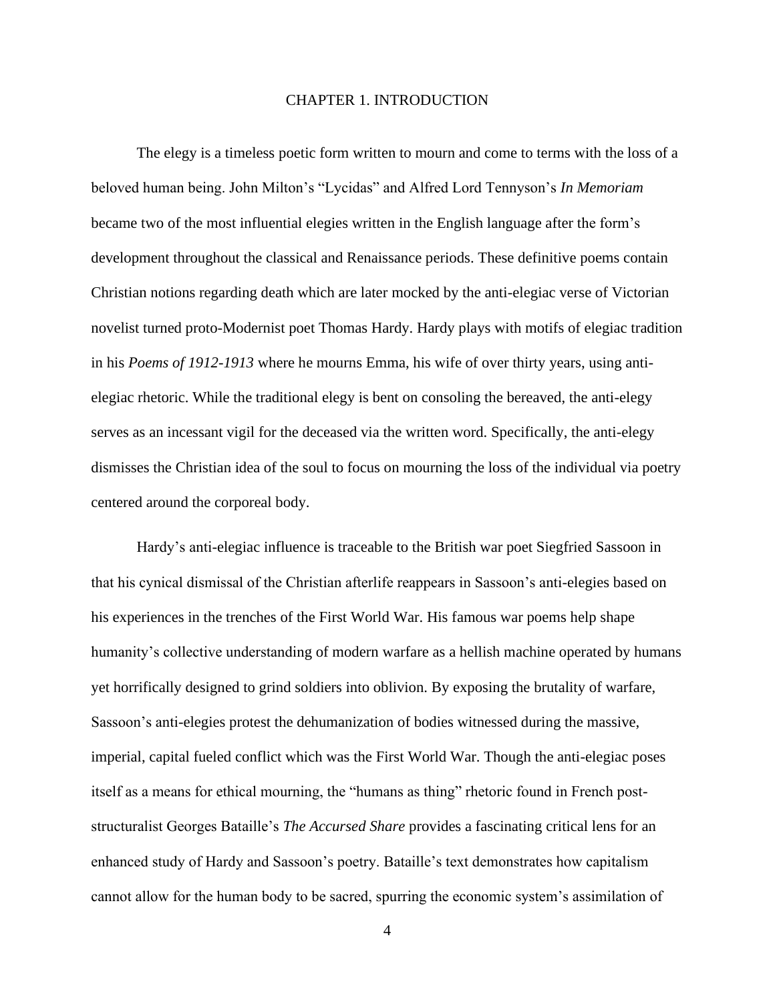#### CHAPTER 1. INTRODUCTION

<span id="page-4-0"></span>The elegy is a timeless poetic form written to mourn and come to terms with the loss of a beloved human being. John Milton's "Lycidas" and Alfred Lord Tennyson's *In Memoriam*  became two of the most influential elegies written in the English language after the form's development throughout the classical and Renaissance periods. These definitive poems contain Christian notions regarding death which are later mocked by the anti-elegiac verse of Victorian novelist turned proto-Modernist poet Thomas Hardy. Hardy plays with motifs of elegiac tradition in his *Poems of 1912-1913* where he mourns Emma, his wife of over thirty years, using antielegiac rhetoric. While the traditional elegy is bent on consoling the bereaved, the anti-elegy serves as an incessant vigil for the deceased via the written word. Specifically, the anti-elegy dismisses the Christian idea of the soul to focus on mourning the loss of the individual via poetry centered around the corporeal body.

Hardy's anti-elegiac influence is traceable to the British war poet Siegfried Sassoon in that his cynical dismissal of the Christian afterlife reappears in Sassoon's anti-elegies based on his experiences in the trenches of the First World War. His famous war poems help shape humanity's collective understanding of modern warfare as a hellish machine operated by humans yet horrifically designed to grind soldiers into oblivion. By exposing the brutality of warfare, Sassoon's anti-elegies protest the dehumanization of bodies witnessed during the massive, imperial, capital fueled conflict which was the First World War. Though the anti-elegiac poses itself as a means for ethical mourning, the "humans as thing" rhetoric found in French poststructuralist Georges Bataille's *The Accursed Share* provides a fascinating critical lens for an enhanced study of Hardy and Sassoon's poetry. Bataille's text demonstrates how capitalism cannot allow for the human body to be sacred, spurring the economic system's assimilation of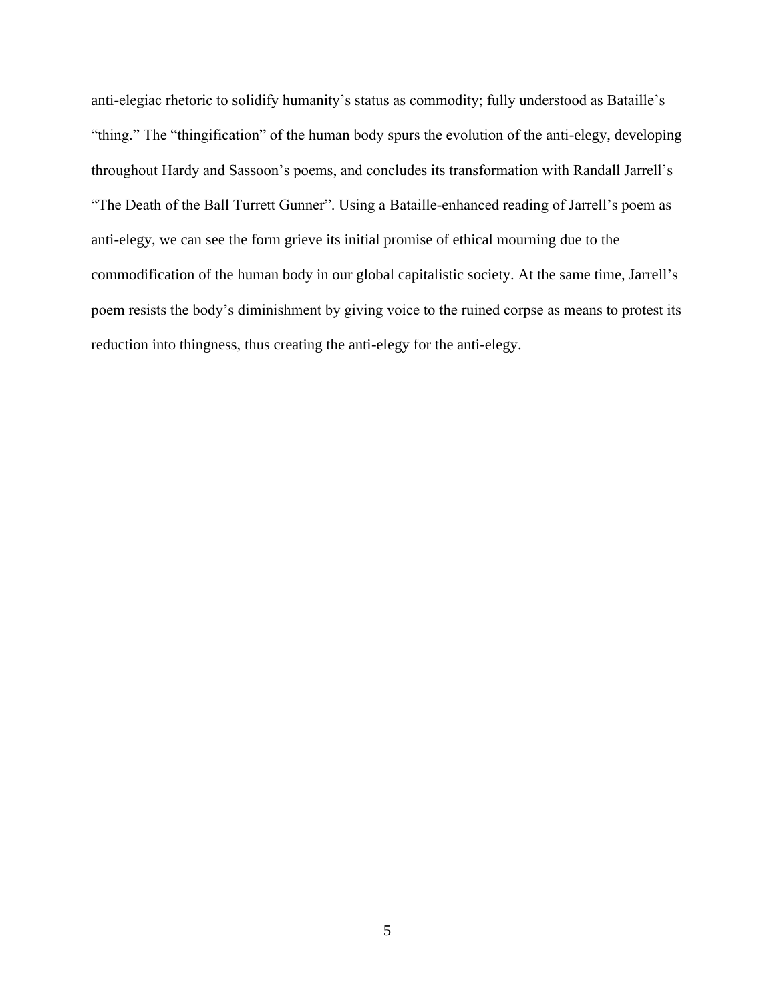anti-elegiac rhetoric to solidify humanity's status as commodity; fully understood as Bataille's "thing." The "thingification" of the human body spurs the evolution of the anti-elegy, developing throughout Hardy and Sassoon's poems, and concludes its transformation with Randall Jarrell's "The Death of the Ball Turrett Gunner". Using a Bataille-enhanced reading of Jarrell's poem as anti-elegy, we can see the form grieve its initial promise of ethical mourning due to the commodification of the human body in our global capitalistic society. At the same time, Jarrell's poem resists the body's diminishment by giving voice to the ruined corpse as means to protest its reduction into thingness, thus creating the anti-elegy for the anti-elegy.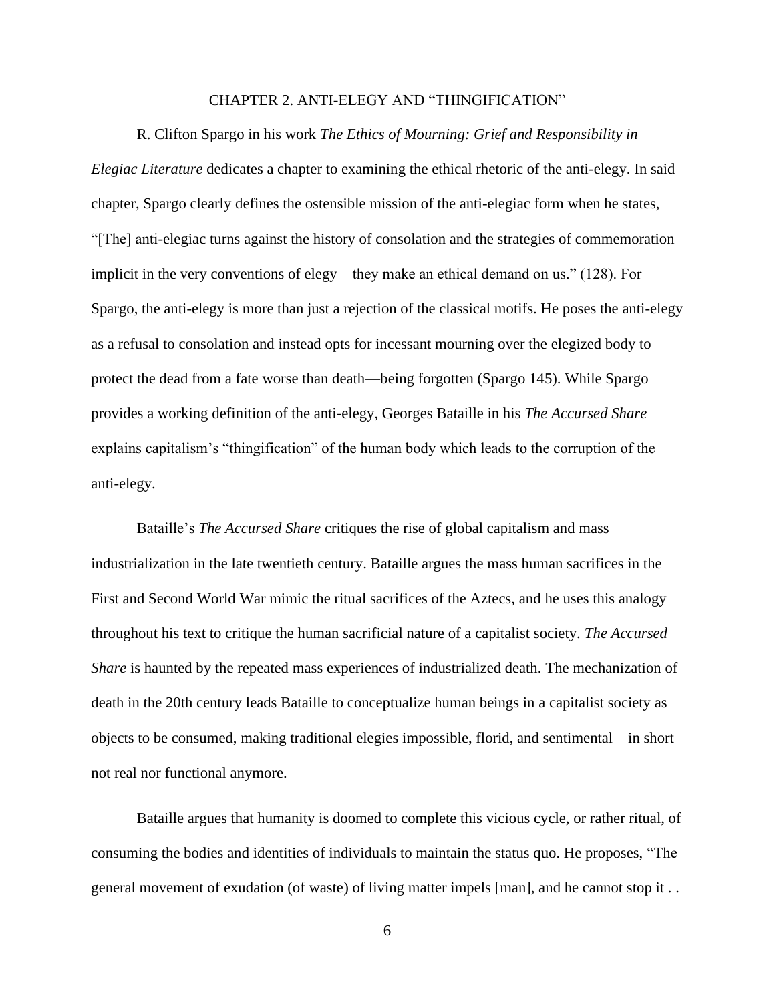### CHAPTER 2. ANTI-ELEGY AND "THINGIFICATION"

<span id="page-6-0"></span>R. Clifton Spargo in his work *The Ethics of Mourning: Grief and Responsibility in Elegiac Literature* dedicates a chapter to examining the ethical rhetoric of the anti-elegy. In said chapter, Spargo clearly defines the ostensible mission of the anti-elegiac form when he states, "[The] anti-elegiac turns against the history of consolation and the strategies of commemoration implicit in the very conventions of elegy—they make an ethical demand on us." (128). For Spargo, the anti-elegy is more than just a rejection of the classical motifs. He poses the anti-elegy as a refusal to consolation and instead opts for incessant mourning over the elegized body to protect the dead from a fate worse than death—being forgotten (Spargo 145). While Spargo provides a working definition of the anti-elegy, Georges Bataille in his *The Accursed Share* explains capitalism's "thingification" of the human body which leads to the corruption of the anti-elegy.

Bataille's *The Accursed Share* critiques the rise of global capitalism and mass industrialization in the late twentieth century. Bataille argues the mass human sacrifices in the First and Second World War mimic the ritual sacrifices of the Aztecs, and he uses this analogy throughout his text to critique the human sacrificial nature of a capitalist society. *The Accursed Share* is haunted by the repeated mass experiences of industrialized death. The mechanization of death in the 20th century leads Bataille to conceptualize human beings in a capitalist society as objects to be consumed, making traditional elegies impossible, florid, and sentimental—in short not real nor functional anymore.

Bataille argues that humanity is doomed to complete this vicious cycle, or rather ritual, of consuming the bodies and identities of individuals to maintain the status quo. He proposes, "The general movement of exudation (of waste) of living matter impels [man], and he cannot stop it . .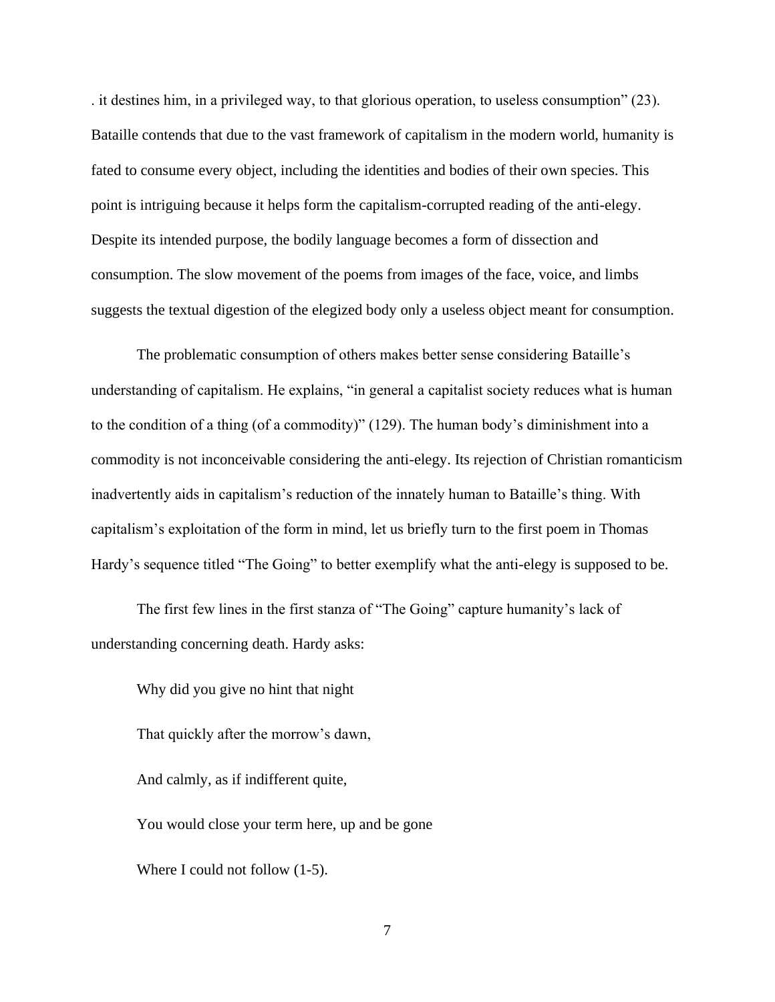. it destines him, in a privileged way, to that glorious operation, to useless consumption" (23). Bataille contends that due to the vast framework of capitalism in the modern world, humanity is fated to consume every object, including the identities and bodies of their own species. This point is intriguing because it helps form the capitalism-corrupted reading of the anti-elegy. Despite its intended purpose, the bodily language becomes a form of dissection and consumption. The slow movement of the poems from images of the face, voice, and limbs suggests the textual digestion of the elegized body only a useless object meant for consumption.

The problematic consumption of others makes better sense considering Bataille's understanding of capitalism. He explains, "in general a capitalist society reduces what is human to the condition of a thing (of a commodity)" (129). The human body's diminishment into a commodity is not inconceivable considering the anti-elegy. Its rejection of Christian romanticism inadvertently aids in capitalism's reduction of the innately human to Bataille's thing. With capitalism's exploitation of the form in mind, let us briefly turn to the first poem in Thomas Hardy's sequence titled "The Going" to better exemplify what the anti-elegy is supposed to be.

The first few lines in the first stanza of "The Going" capture humanity's lack of understanding concerning death. Hardy asks:

Why did you give no hint that night That quickly after the morrow's dawn, And calmly, as if indifferent quite, You would close your term here, up and be gone Where I could not follow (1-5).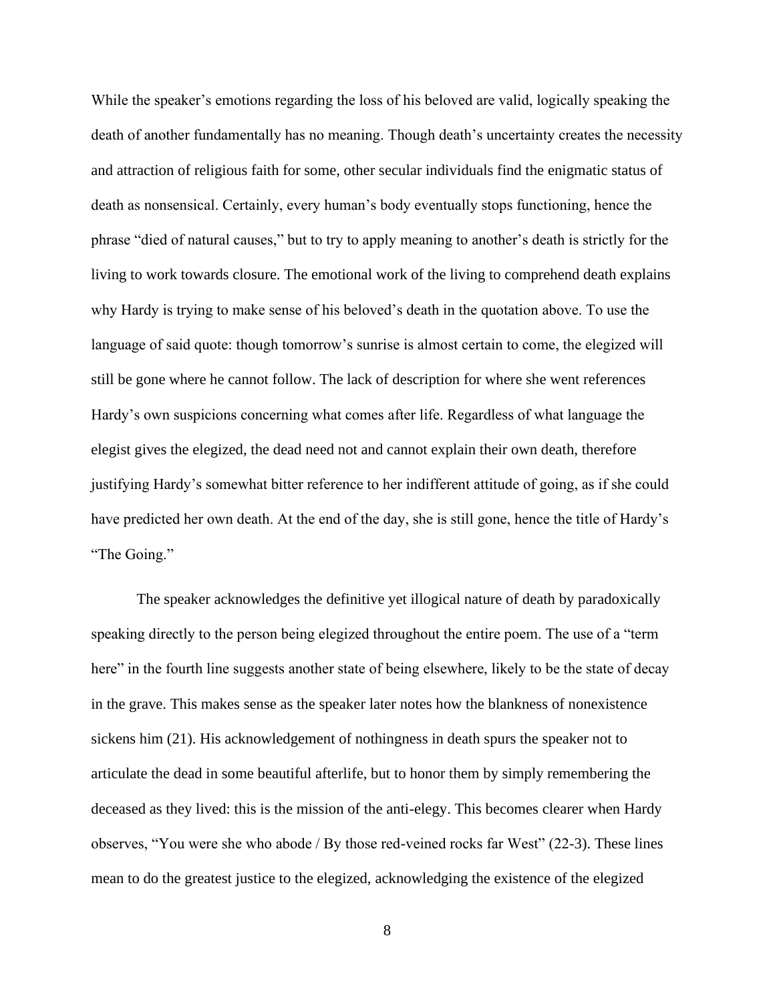While the speaker's emotions regarding the loss of his beloved are valid, logically speaking the death of another fundamentally has no meaning. Though death's uncertainty creates the necessity and attraction of religious faith for some, other secular individuals find the enigmatic status of death as nonsensical. Certainly, every human's body eventually stops functioning, hence the phrase "died of natural causes," but to try to apply meaning to another's death is strictly for the living to work towards closure. The emotional work of the living to comprehend death explains why Hardy is trying to make sense of his beloved's death in the quotation above. To use the language of said quote: though tomorrow's sunrise is almost certain to come, the elegized will still be gone where he cannot follow. The lack of description for where she went references Hardy's own suspicions concerning what comes after life. Regardless of what language the elegist gives the elegized, the dead need not and cannot explain their own death, therefore justifying Hardy's somewhat bitter reference to her indifferent attitude of going, as if she could have predicted her own death. At the end of the day, she is still gone, hence the title of Hardy's "The Going."

The speaker acknowledges the definitive yet illogical nature of death by paradoxically speaking directly to the person being elegized throughout the entire poem. The use of a "term here" in the fourth line suggests another state of being elsewhere, likely to be the state of decay in the grave. This makes sense as the speaker later notes how the blankness of nonexistence sickens him (21). His acknowledgement of nothingness in death spurs the speaker not to articulate the dead in some beautiful afterlife, but to honor them by simply remembering the deceased as they lived: this is the mission of the anti-elegy. This becomes clearer when Hardy observes, "You were she who abode / By those red-veined rocks far West" (22-3). These lines mean to do the greatest justice to the elegized, acknowledging the existence of the elegized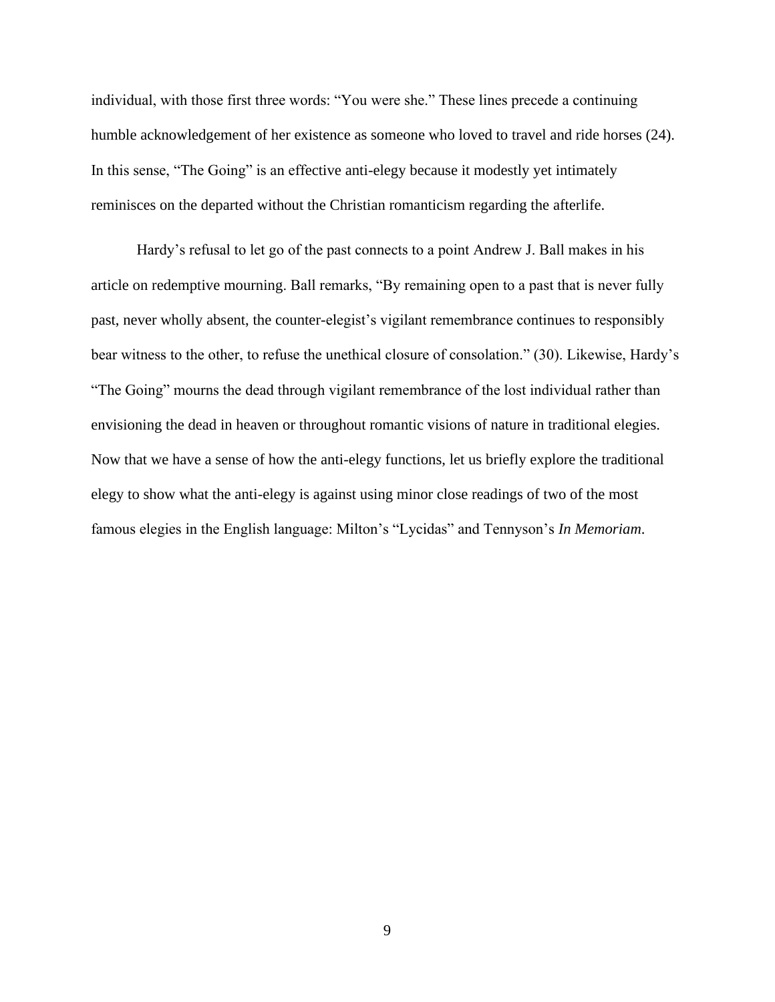individual, with those first three words: "You were she." These lines precede a continuing humble acknowledgement of her existence as someone who loved to travel and ride horses (24). In this sense, "The Going" is an effective anti-elegy because it modestly yet intimately reminisces on the departed without the Christian romanticism regarding the afterlife.

Hardy's refusal to let go of the past connects to a point Andrew J. Ball makes in his article on redemptive mourning. Ball remarks, "By remaining open to a past that is never fully past, never wholly absent, the counter-elegist's vigilant remembrance continues to responsibly bear witness to the other, to refuse the unethical closure of consolation." (30). Likewise, Hardy's "The Going" mourns the dead through vigilant remembrance of the lost individual rather than envisioning the dead in heaven or throughout romantic visions of nature in traditional elegies. Now that we have a sense of how the anti-elegy functions, let us briefly explore the traditional elegy to show what the anti-elegy is against using minor close readings of two of the most famous elegies in the English language: Milton's "Lycidas" and Tennyson's *In Memoriam*.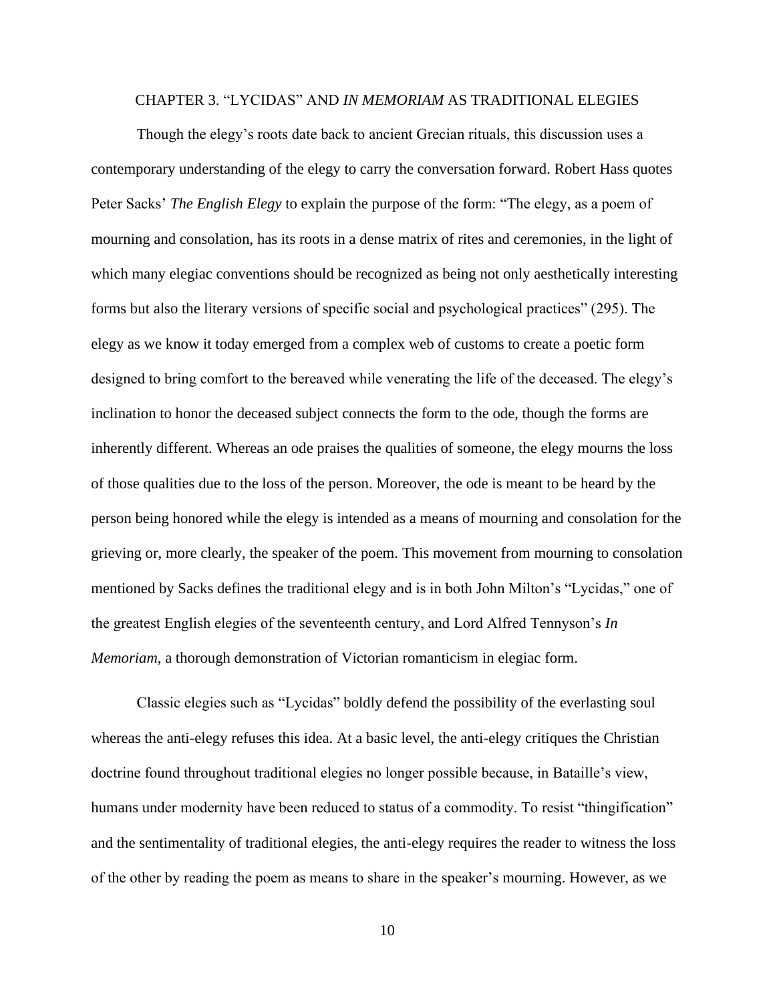#### CHAPTER 3. "LYCIDAS" AND *IN MEMORIAM* AS TRADITIONAL ELEGIES

<span id="page-10-0"></span>Though the elegy's roots date back to ancient Grecian rituals, this discussion uses a contemporary understanding of the elegy to carry the conversation forward. Robert Hass quotes Peter Sacks' *The English Elegy* to explain the purpose of the form: "The elegy, as a poem of mourning and consolation, has its roots in a dense matrix of rites and ceremonies, in the light of which many elegiac conventions should be recognized as being not only aesthetically interesting forms but also the literary versions of specific social and psychological practices" (295). The elegy as we know it today emerged from a complex web of customs to create a poetic form designed to bring comfort to the bereaved while venerating the life of the deceased. The elegy's inclination to honor the deceased subject connects the form to the ode, though the forms are inherently different. Whereas an ode praises the qualities of someone, the elegy mourns the loss of those qualities due to the loss of the person. Moreover, the ode is meant to be heard by the person being honored while the elegy is intended as a means of mourning and consolation for the grieving or, more clearly, the speaker of the poem. This movement from mourning to consolation mentioned by Sacks defines the traditional elegy and is in both John Milton's "Lycidas," one of the greatest English elegies of the seventeenth century, and Lord Alfred Tennyson's *In Memoriam*, a thorough demonstration of Victorian romanticism in elegiac form.

Classic elegies such as "Lycidas" boldly defend the possibility of the everlasting soul whereas the anti-elegy refuses this idea. At a basic level, the anti-elegy critiques the Christian doctrine found throughout traditional elegies no longer possible because, in Bataille's view, humans under modernity have been reduced to status of a commodity. To resist "thingification" and the sentimentality of traditional elegies, the anti-elegy requires the reader to witness the loss of the other by reading the poem as means to share in the speaker's mourning. However, as we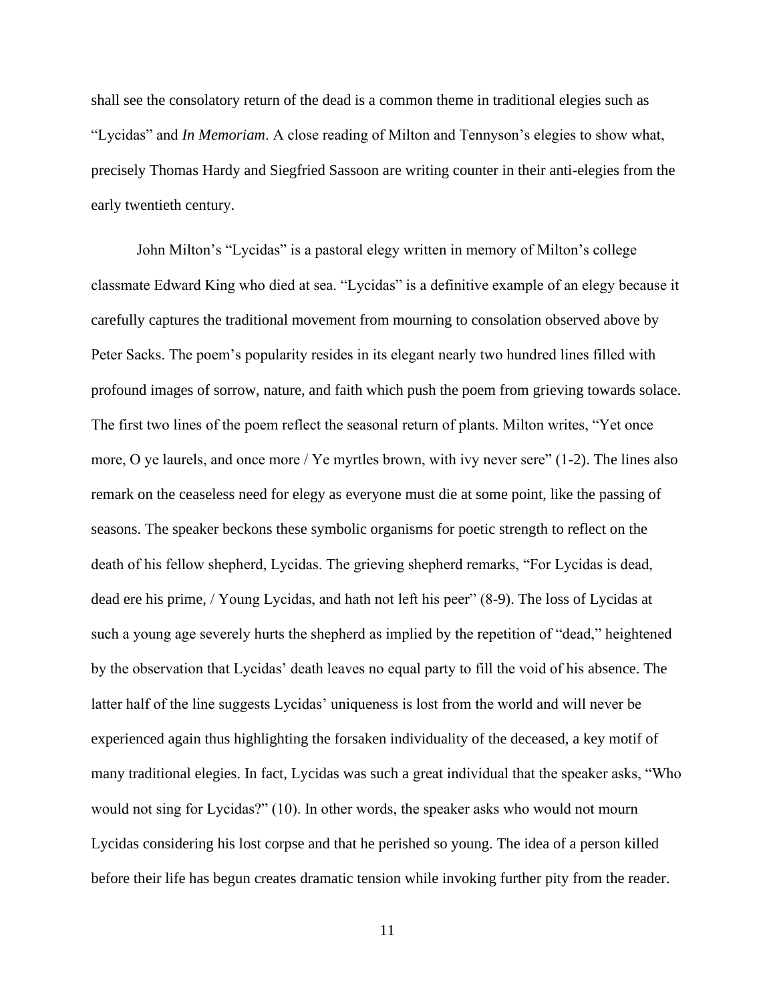shall see the consolatory return of the dead is a common theme in traditional elegies such as "Lycidas" and *In Memoriam*. A close reading of Milton and Tennyson's elegies to show what, precisely Thomas Hardy and Siegfried Sassoon are writing counter in their anti-elegies from the early twentieth century.

John Milton's "Lycidas" is a pastoral elegy written in memory of Milton's college classmate Edward King who died at sea. "Lycidas" is a definitive example of an elegy because it carefully captures the traditional movement from mourning to consolation observed above by Peter Sacks. The poem's popularity resides in its elegant nearly two hundred lines filled with profound images of sorrow, nature, and faith which push the poem from grieving towards solace. The first two lines of the poem reflect the seasonal return of plants. Milton writes, "Yet once more, O ye laurels, and once more / Ye myrtles brown, with ivy never sere" (1-2). The lines also remark on the ceaseless need for elegy as everyone must die at some point, like the passing of seasons. The speaker beckons these symbolic organisms for poetic strength to reflect on the death of his fellow shepherd, Lycidas. The grieving shepherd remarks, "For Lycidas is dead, dead ere his prime, / Young Lycidas, and hath not left his peer" (8-9). The loss of Lycidas at such a young age severely hurts the shepherd as implied by the repetition of "dead," heightened by the observation that Lycidas' death leaves no equal party to fill the void of his absence. The latter half of the line suggests Lycidas' uniqueness is lost from the world and will never be experienced again thus highlighting the forsaken individuality of the deceased, a key motif of many traditional elegies. In fact, Lycidas was such a great individual that the speaker asks, "Who would not sing for Lycidas?" (10). In other words, the speaker asks who would not mourn Lycidas considering his lost corpse and that he perished so young. The idea of a person killed before their life has begun creates dramatic tension while invoking further pity from the reader.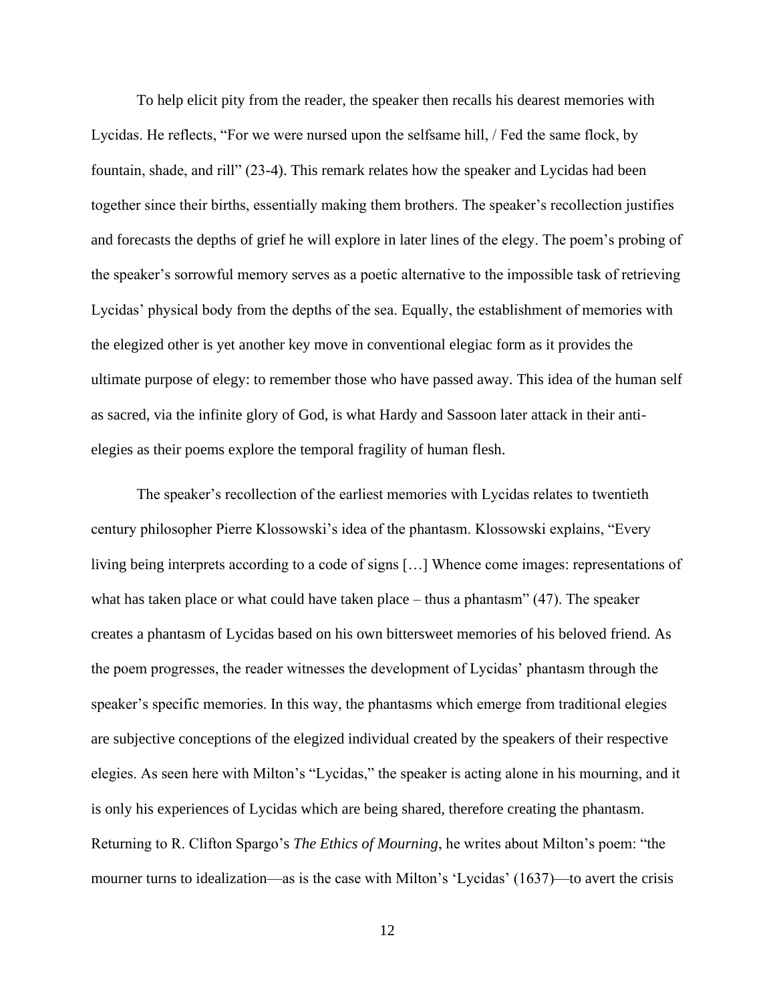To help elicit pity from the reader, the speaker then recalls his dearest memories with Lycidas. He reflects, "For we were nursed upon the selfsame hill, / Fed the same flock, by fountain, shade, and rill" (23-4). This remark relates how the speaker and Lycidas had been together since their births, essentially making them brothers. The speaker's recollection justifies and forecasts the depths of grief he will explore in later lines of the elegy. The poem's probing of the speaker's sorrowful memory serves as a poetic alternative to the impossible task of retrieving Lycidas' physical body from the depths of the sea. Equally, the establishment of memories with the elegized other is yet another key move in conventional elegiac form as it provides the ultimate purpose of elegy: to remember those who have passed away. This idea of the human self as sacred, via the infinite glory of God, is what Hardy and Sassoon later attack in their antielegies as their poems explore the temporal fragility of human flesh.

The speaker's recollection of the earliest memories with Lycidas relates to twentieth century philosopher Pierre Klossowski's idea of the phantasm. Klossowski explains, "Every living being interprets according to a code of signs […] Whence come images: representations of what has taken place or what could have taken place – thus a phantasm" (47). The speaker creates a phantasm of Lycidas based on his own bittersweet memories of his beloved friend. As the poem progresses, the reader witnesses the development of Lycidas' phantasm through the speaker's specific memories. In this way, the phantasms which emerge from traditional elegies are subjective conceptions of the elegized individual created by the speakers of their respective elegies. As seen here with Milton's "Lycidas," the speaker is acting alone in his mourning, and it is only his experiences of Lycidas which are being shared, therefore creating the phantasm. Returning to R. Clifton Spargo's *The Ethics of Mourning*, he writes about Milton's poem: "the mourner turns to idealization—as is the case with Milton's 'Lycidas' (1637)—to avert the crisis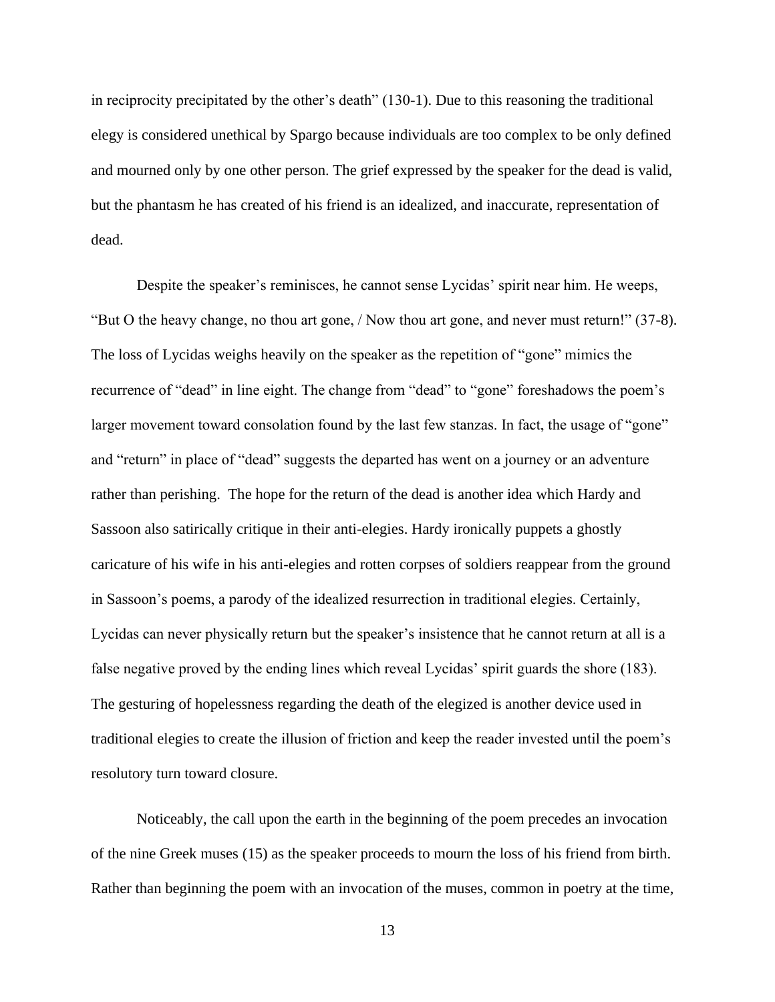in reciprocity precipitated by the other's death" (130-1). Due to this reasoning the traditional elegy is considered unethical by Spargo because individuals are too complex to be only defined and mourned only by one other person. The grief expressed by the speaker for the dead is valid, but the phantasm he has created of his friend is an idealized, and inaccurate, representation of dead.

Despite the speaker's reminisces, he cannot sense Lycidas' spirit near him. He weeps, "But O the heavy change, no thou art gone, / Now thou art gone, and never must return!" (37-8). The loss of Lycidas weighs heavily on the speaker as the repetition of "gone" mimics the recurrence of "dead" in line eight. The change from "dead" to "gone" foreshadows the poem's larger movement toward consolation found by the last few stanzas. In fact, the usage of "gone" and "return" in place of "dead" suggests the departed has went on a journey or an adventure rather than perishing. The hope for the return of the dead is another idea which Hardy and Sassoon also satirically critique in their anti-elegies. Hardy ironically puppets a ghostly caricature of his wife in his anti-elegies and rotten corpses of soldiers reappear from the ground in Sassoon's poems, a parody of the idealized resurrection in traditional elegies. Certainly, Lycidas can never physically return but the speaker's insistence that he cannot return at all is a false negative proved by the ending lines which reveal Lycidas' spirit guards the shore (183). The gesturing of hopelessness regarding the death of the elegized is another device used in traditional elegies to create the illusion of friction and keep the reader invested until the poem's resolutory turn toward closure.

Noticeably, the call upon the earth in the beginning of the poem precedes an invocation of the nine Greek muses (15) as the speaker proceeds to mourn the loss of his friend from birth. Rather than beginning the poem with an invocation of the muses, common in poetry at the time,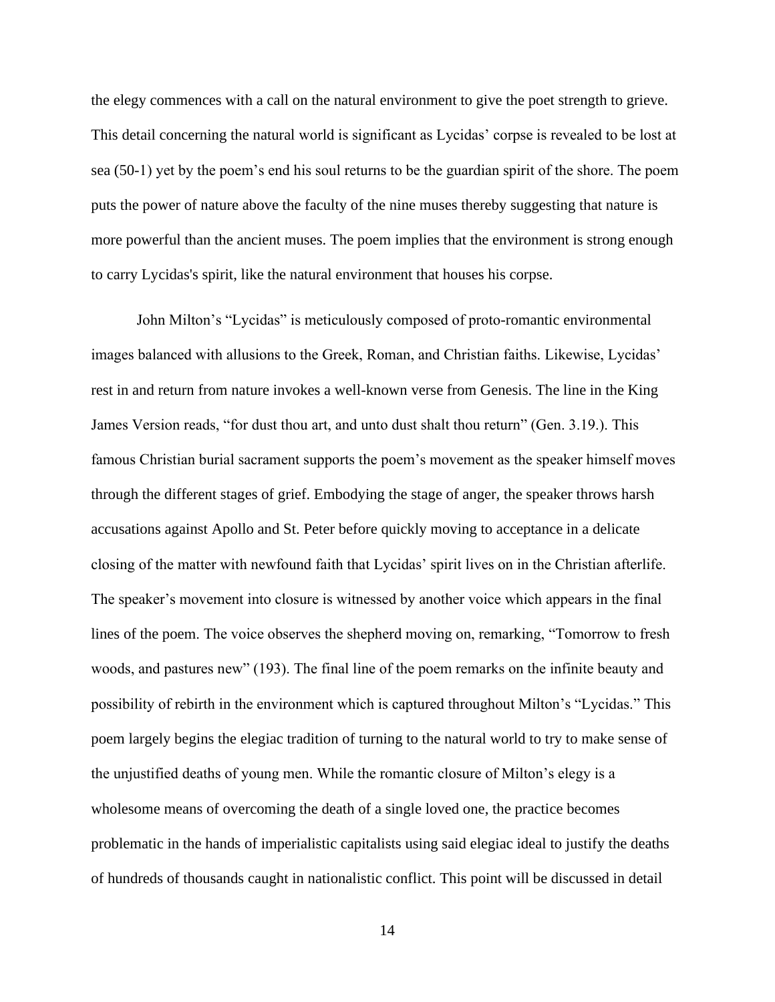the elegy commences with a call on the natural environment to give the poet strength to grieve. This detail concerning the natural world is significant as Lycidas' corpse is revealed to be lost at sea (50-1) yet by the poem's end his soul returns to be the guardian spirit of the shore. The poem puts the power of nature above the faculty of the nine muses thereby suggesting that nature is more powerful than the ancient muses. The poem implies that the environment is strong enough to carry Lycidas's spirit, like the natural environment that houses his corpse.

John Milton's "Lycidas" is meticulously composed of proto-romantic environmental images balanced with allusions to the Greek, Roman, and Christian faiths. Likewise, Lycidas' rest in and return from nature invokes a well-known verse from Genesis. The line in the King James Version reads, "for dust thou art, and unto dust shalt thou return" (Gen. 3.19.). This famous Christian burial sacrament supports the poem's movement as the speaker himself moves through the different stages of grief. Embodying the stage of anger, the speaker throws harsh accusations against Apollo and St. Peter before quickly moving to acceptance in a delicate closing of the matter with newfound faith that Lycidas' spirit lives on in the Christian afterlife. The speaker's movement into closure is witnessed by another voice which appears in the final lines of the poem. The voice observes the shepherd moving on, remarking, "Tomorrow to fresh woods, and pastures new" (193). The final line of the poem remarks on the infinite beauty and possibility of rebirth in the environment which is captured throughout Milton's "Lycidas." This poem largely begins the elegiac tradition of turning to the natural world to try to make sense of the unjustified deaths of young men. While the romantic closure of Milton's elegy is a wholesome means of overcoming the death of a single loved one, the practice becomes problematic in the hands of imperialistic capitalists using said elegiac ideal to justify the deaths of hundreds of thousands caught in nationalistic conflict. This point will be discussed in detail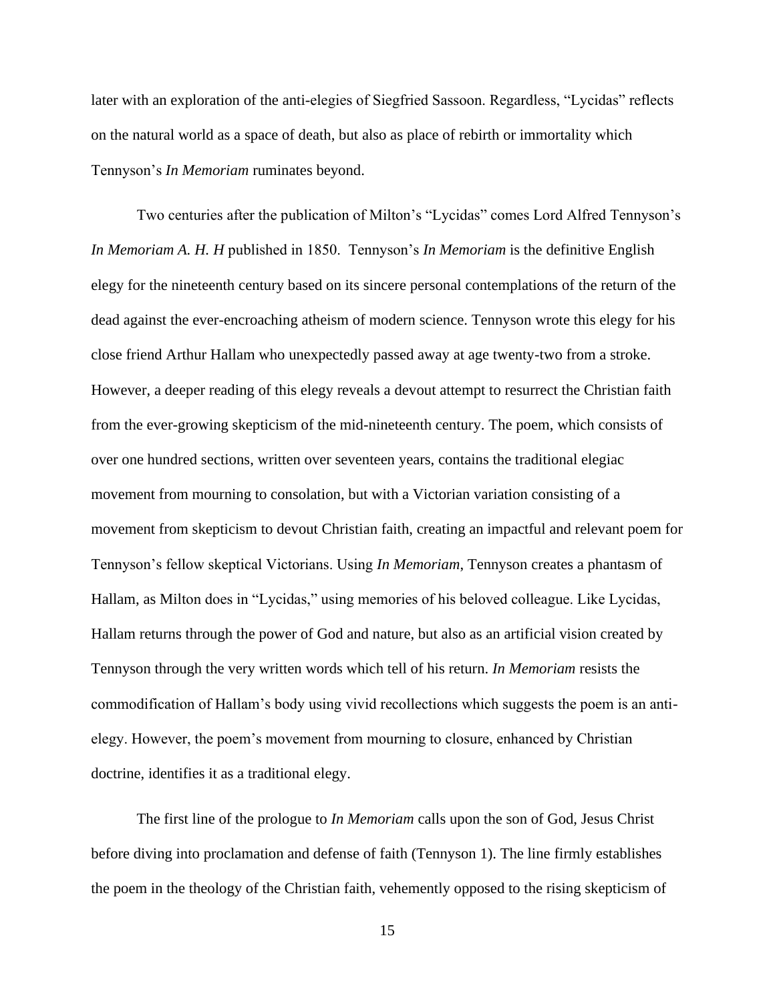later with an exploration of the anti-elegies of Siegfried Sassoon. Regardless, "Lycidas" reflects on the natural world as a space of death, but also as place of rebirth or immortality which Tennyson's *In Memoriam* ruminates beyond.

Two centuries after the publication of Milton's "Lycidas" comes Lord Alfred Tennyson's *In Memoriam A. H. H* published in 1850. Tennyson's *In Memoriam* is the definitive English elegy for the nineteenth century based on its sincere personal contemplations of the return of the dead against the ever-encroaching atheism of modern science. Tennyson wrote this elegy for his close friend Arthur Hallam who unexpectedly passed away at age twenty-two from a stroke. However, a deeper reading of this elegy reveals a devout attempt to resurrect the Christian faith from the ever-growing skepticism of the mid-nineteenth century. The poem, which consists of over one hundred sections, written over seventeen years, contains the traditional elegiac movement from mourning to consolation, but with a Victorian variation consisting of a movement from skepticism to devout Christian faith, creating an impactful and relevant poem for Tennyson's fellow skeptical Victorians. Using *In Memoriam*, Tennyson creates a phantasm of Hallam, as Milton does in "Lycidas," using memories of his beloved colleague. Like Lycidas, Hallam returns through the power of God and nature, but also as an artificial vision created by Tennyson through the very written words which tell of his return. *In Memoriam* resists the commodification of Hallam's body using vivid recollections which suggests the poem is an antielegy. However, the poem's movement from mourning to closure, enhanced by Christian doctrine, identifies it as a traditional elegy.

The first line of the prologue to *In Memoriam* calls upon the son of God, Jesus Christ before diving into proclamation and defense of faith (Tennyson 1). The line firmly establishes the poem in the theology of the Christian faith, vehemently opposed to the rising skepticism of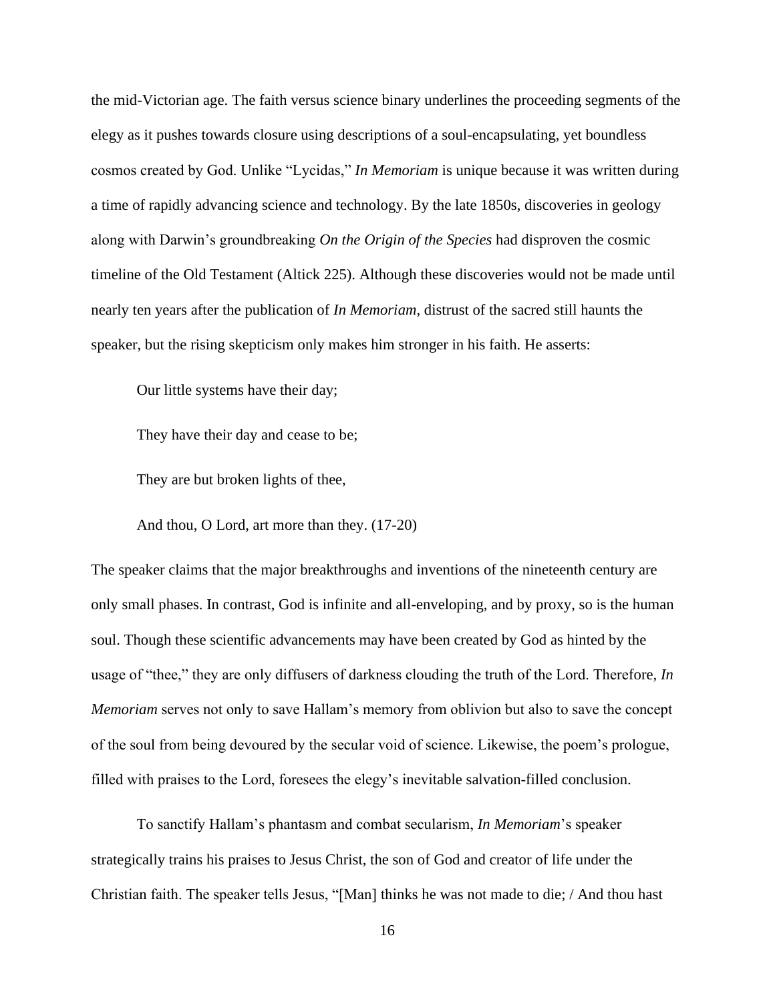the mid-Victorian age. The faith versus science binary underlines the proceeding segments of the elegy as it pushes towards closure using descriptions of a soul-encapsulating, yet boundless cosmos created by God. Unlike "Lycidas," *In Memoriam* is unique because it was written during a time of rapidly advancing science and technology. By the late 1850s, discoveries in geology along with Darwin's groundbreaking *On the Origin of the Species* had disproven the cosmic timeline of the Old Testament (Altick 225). Although these discoveries would not be made until nearly ten years after the publication of *In Memoriam*, distrust of the sacred still haunts the speaker, but the rising skepticism only makes him stronger in his faith. He asserts:

Our little systems have their day;

They have their day and cease to be;

They are but broken lights of thee,

And thou, O Lord, art more than they. (17-20)

The speaker claims that the major breakthroughs and inventions of the nineteenth century are only small phases. In contrast, God is infinite and all-enveloping, and by proxy, so is the human soul. Though these scientific advancements may have been created by God as hinted by the usage of "thee," they are only diffusers of darkness clouding the truth of the Lord. Therefore, *In Memoriam* serves not only to save Hallam's memory from oblivion but also to save the concept of the soul from being devoured by the secular void of science. Likewise, the poem's prologue, filled with praises to the Lord, foresees the elegy's inevitable salvation-filled conclusion.

To sanctify Hallam's phantasm and combat secularism, *In Memoriam*'s speaker strategically trains his praises to Jesus Christ, the son of God and creator of life under the Christian faith. The speaker tells Jesus, "[Man] thinks he was not made to die; / And thou hast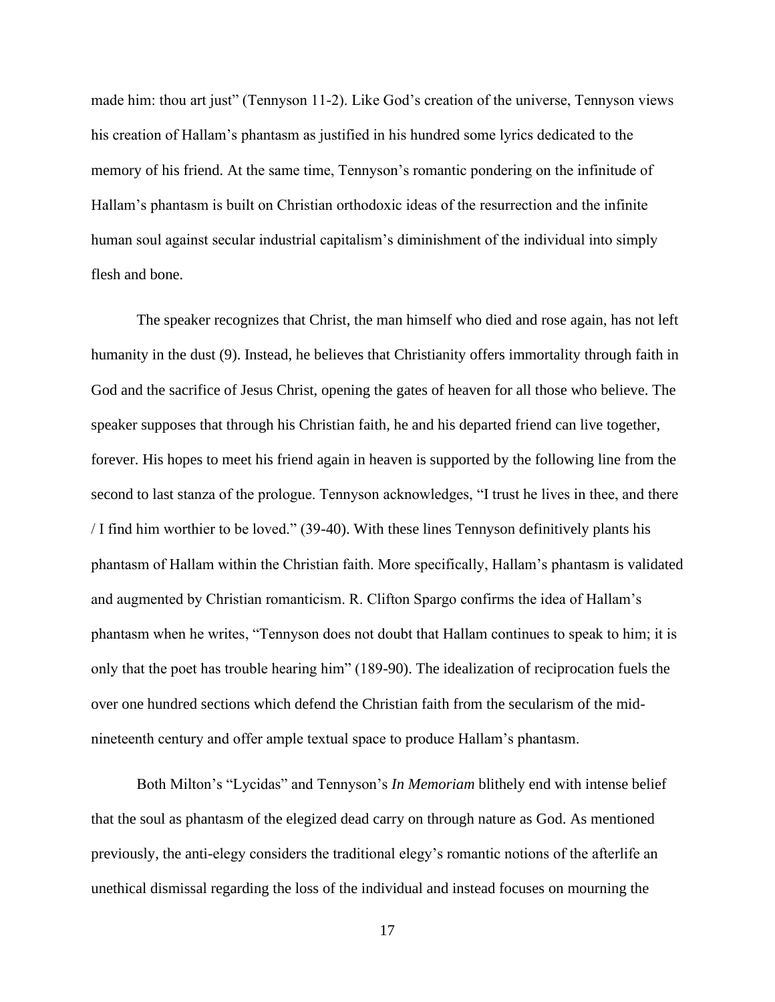made him: thou art just" (Tennyson 11-2). Like God's creation of the universe, Tennyson views his creation of Hallam's phantasm as justified in his hundred some lyrics dedicated to the memory of his friend. At the same time, Tennyson's romantic pondering on the infinitude of Hallam's phantasm is built on Christian orthodoxic ideas of the resurrection and the infinite human soul against secular industrial capitalism's diminishment of the individual into simply flesh and bone.

The speaker recognizes that Christ, the man himself who died and rose again, has not left humanity in the dust (9). Instead, he believes that Christianity offers immortality through faith in God and the sacrifice of Jesus Christ, opening the gates of heaven for all those who believe. The speaker supposes that through his Christian faith, he and his departed friend can live together, forever. His hopes to meet his friend again in heaven is supported by the following line from the second to last stanza of the prologue. Tennyson acknowledges, "I trust he lives in thee, and there / I find him worthier to be loved." (39-40). With these lines Tennyson definitively plants his phantasm of Hallam within the Christian faith. More specifically, Hallam's phantasm is validated and augmented by Christian romanticism. R. Clifton Spargo confirms the idea of Hallam's phantasm when he writes, "Tennyson does not doubt that Hallam continues to speak to him; it is only that the poet has trouble hearing him" (189-90). The idealization of reciprocation fuels the over one hundred sections which defend the Christian faith from the secularism of the midnineteenth century and offer ample textual space to produce Hallam's phantasm.

Both Milton's "Lycidas" and Tennyson's *In Memoriam* blithely end with intense belief that the soul as phantasm of the elegized dead carry on through nature as God. As mentioned previously, the anti-elegy considers the traditional elegy's romantic notions of the afterlife an unethical dismissal regarding the loss of the individual and instead focuses on mourning the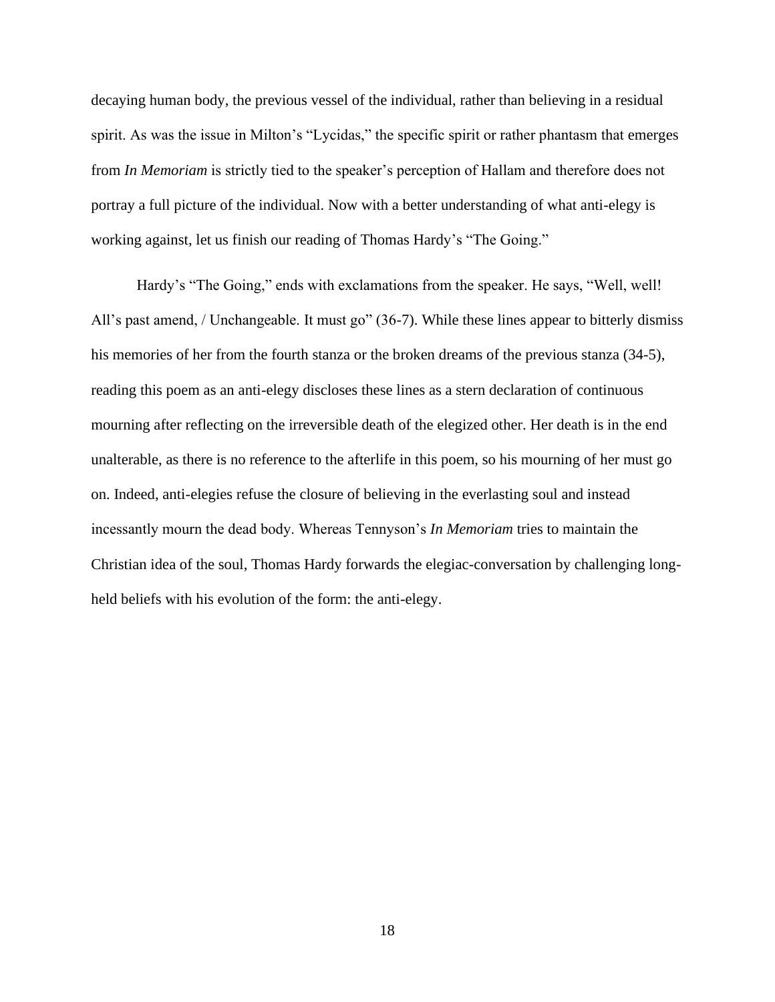decaying human body, the previous vessel of the individual, rather than believing in a residual spirit. As was the issue in Milton's "Lycidas," the specific spirit or rather phantasm that emerges from *In Memoriam* is strictly tied to the speaker's perception of Hallam and therefore does not portray a full picture of the individual. Now with a better understanding of what anti-elegy is working against, let us finish our reading of Thomas Hardy's "The Going."

Hardy's "The Going," ends with exclamations from the speaker. He says, "Well, well! All's past amend, / Unchangeable. It must go" (36-7). While these lines appear to bitterly dismiss his memories of her from the fourth stanza or the broken dreams of the previous stanza (34-5), reading this poem as an anti-elegy discloses these lines as a stern declaration of continuous mourning after reflecting on the irreversible death of the elegized other. Her death is in the end unalterable, as there is no reference to the afterlife in this poem, so his mourning of her must go on. Indeed, anti-elegies refuse the closure of believing in the everlasting soul and instead incessantly mourn the dead body. Whereas Tennyson's *In Memoriam* tries to maintain the Christian idea of the soul, Thomas Hardy forwards the elegiac-conversation by challenging longheld beliefs with his evolution of the form: the anti-elegy.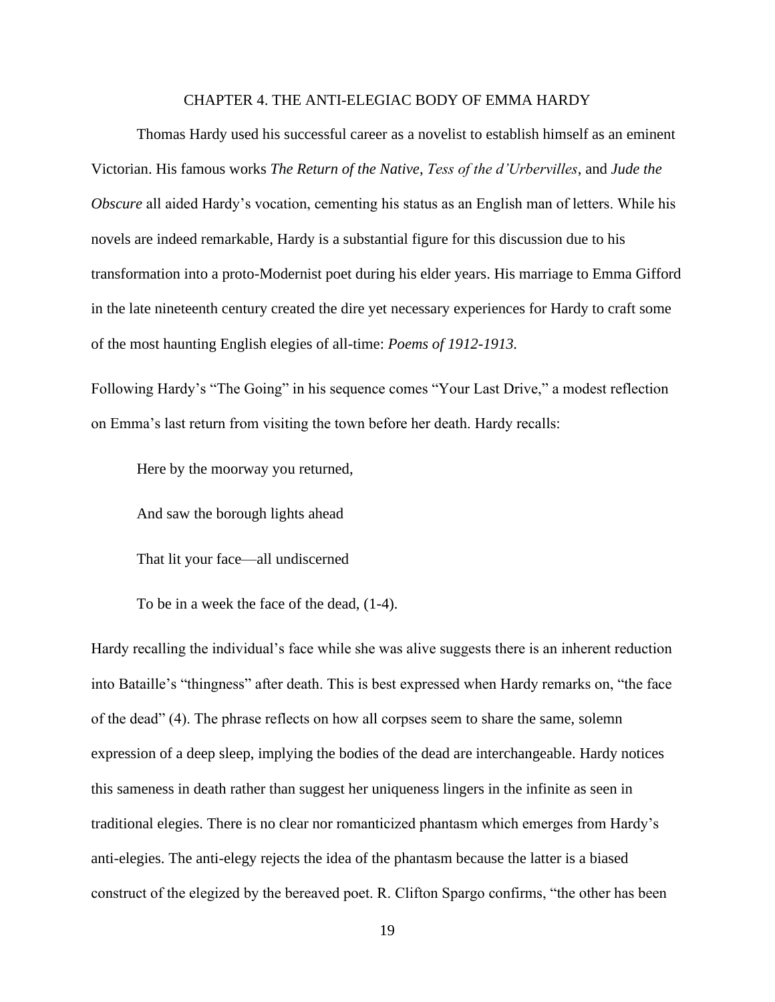#### CHAPTER 4. THE ANTI-ELEGIAC BODY OF EMMA HARDY

<span id="page-19-0"></span>Thomas Hardy used his successful career as a novelist to establish himself as an eminent Victorian. His famous works *The Return of the Native*, *Tess of the d'Urbervilles*, and *Jude the Obscure* all aided Hardy's vocation, cementing his status as an English man of letters. While his novels are indeed remarkable, Hardy is a substantial figure for this discussion due to his transformation into a proto-Modernist poet during his elder years. His marriage to Emma Gifford in the late nineteenth century created the dire yet necessary experiences for Hardy to craft some of the most haunting English elegies of all-time: *Poems of 1912-1913.*

Following Hardy's "The Going" in his sequence comes "Your Last Drive," a modest reflection on Emma's last return from visiting the town before her death. Hardy recalls:

Here by the moorway you returned,

And saw the borough lights ahead

That lit your face—all undiscerned

To be in a week the face of the dead, (1-4).

Hardy recalling the individual's face while she was alive suggests there is an inherent reduction into Bataille's "thingness" after death. This is best expressed when Hardy remarks on, "the face of the dead" (4). The phrase reflects on how all corpses seem to share the same, solemn expression of a deep sleep, implying the bodies of the dead are interchangeable. Hardy notices this sameness in death rather than suggest her uniqueness lingers in the infinite as seen in traditional elegies. There is no clear nor romanticized phantasm which emerges from Hardy's anti-elegies. The anti-elegy rejects the idea of the phantasm because the latter is a biased construct of the elegized by the bereaved poet. R. Clifton Spargo confirms, "the other has been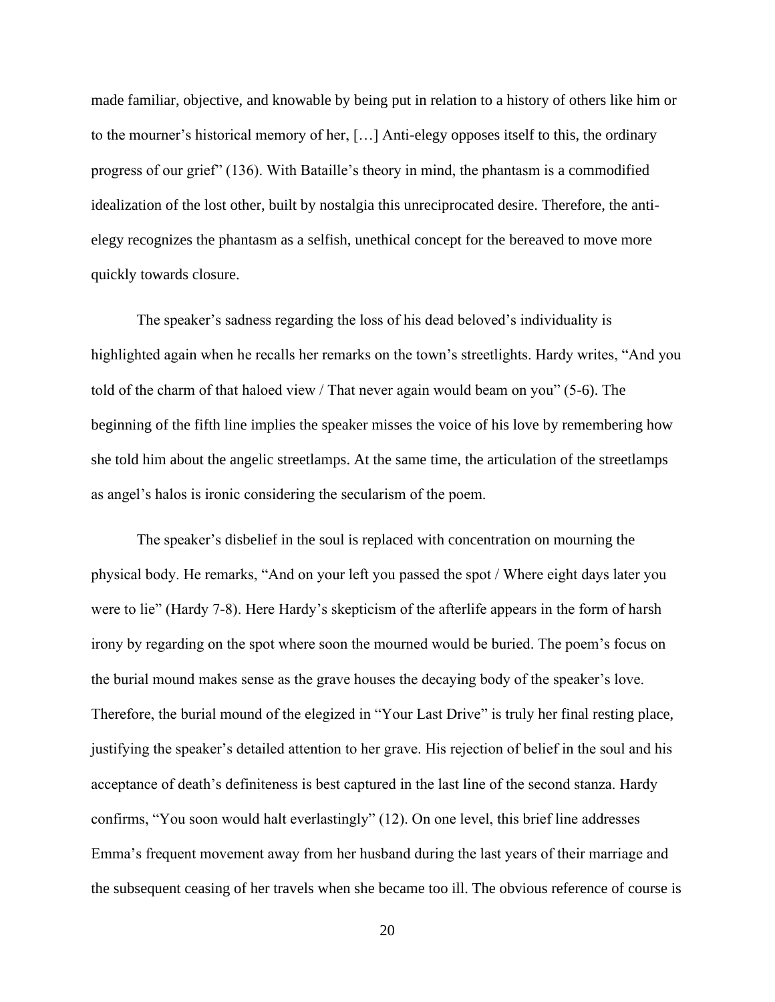made familiar, objective, and knowable by being put in relation to a history of others like him or to the mourner's historical memory of her, […] Anti-elegy opposes itself to this, the ordinary progress of our grief" (136). With Bataille's theory in mind, the phantasm is a commodified idealization of the lost other, built by nostalgia this unreciprocated desire. Therefore, the antielegy recognizes the phantasm as a selfish, unethical concept for the bereaved to move more quickly towards closure.

The speaker's sadness regarding the loss of his dead beloved's individuality is highlighted again when he recalls her remarks on the town's streetlights. Hardy writes, "And you told of the charm of that haloed view / That never again would beam on you" (5-6). The beginning of the fifth line implies the speaker misses the voice of his love by remembering how she told him about the angelic streetlamps. At the same time, the articulation of the streetlamps as angel's halos is ironic considering the secularism of the poem.

The speaker's disbelief in the soul is replaced with concentration on mourning the physical body. He remarks, "And on your left you passed the spot / Where eight days later you were to lie" (Hardy 7-8). Here Hardy's skepticism of the afterlife appears in the form of harsh irony by regarding on the spot where soon the mourned would be buried. The poem's focus on the burial mound makes sense as the grave houses the decaying body of the speaker's love. Therefore, the burial mound of the elegized in "Your Last Drive" is truly her final resting place, justifying the speaker's detailed attention to her grave. His rejection of belief in the soul and his acceptance of death's definiteness is best captured in the last line of the second stanza. Hardy confirms, "You soon would halt everlastingly" (12). On one level, this brief line addresses Emma's frequent movement away from her husband during the last years of their marriage and the subsequent ceasing of her travels when she became too ill. The obvious reference of course is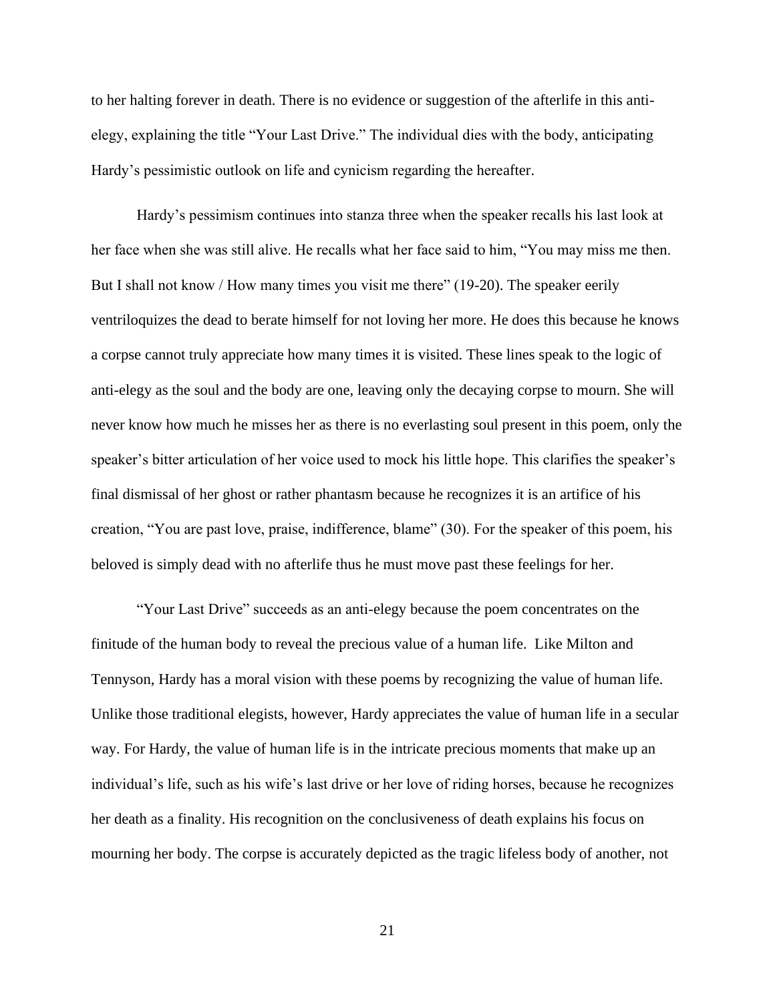to her halting forever in death. There is no evidence or suggestion of the afterlife in this antielegy, explaining the title "Your Last Drive." The individual dies with the body, anticipating Hardy's pessimistic outlook on life and cynicism regarding the hereafter.

Hardy's pessimism continues into stanza three when the speaker recalls his last look at her face when she was still alive. He recalls what her face said to him, "You may miss me then. But I shall not know / How many times you visit me there" (19-20). The speaker eerily ventriloquizes the dead to berate himself for not loving her more. He does this because he knows a corpse cannot truly appreciate how many times it is visited. These lines speak to the logic of anti-elegy as the soul and the body are one, leaving only the decaying corpse to mourn. She will never know how much he misses her as there is no everlasting soul present in this poem, only the speaker's bitter articulation of her voice used to mock his little hope. This clarifies the speaker's final dismissal of her ghost or rather phantasm because he recognizes it is an artifice of his creation, "You are past love, praise, indifference, blame" (30). For the speaker of this poem, his beloved is simply dead with no afterlife thus he must move past these feelings for her.

"Your Last Drive" succeeds as an anti-elegy because the poem concentrates on the finitude of the human body to reveal the precious value of a human life. Like Milton and Tennyson, Hardy has a moral vision with these poems by recognizing the value of human life. Unlike those traditional elegists, however, Hardy appreciates the value of human life in a secular way. For Hardy, the value of human life is in the intricate precious moments that make up an individual's life, such as his wife's last drive or her love of riding horses, because he recognizes her death as a finality. His recognition on the conclusiveness of death explains his focus on mourning her body. The corpse is accurately depicted as the tragic lifeless body of another, not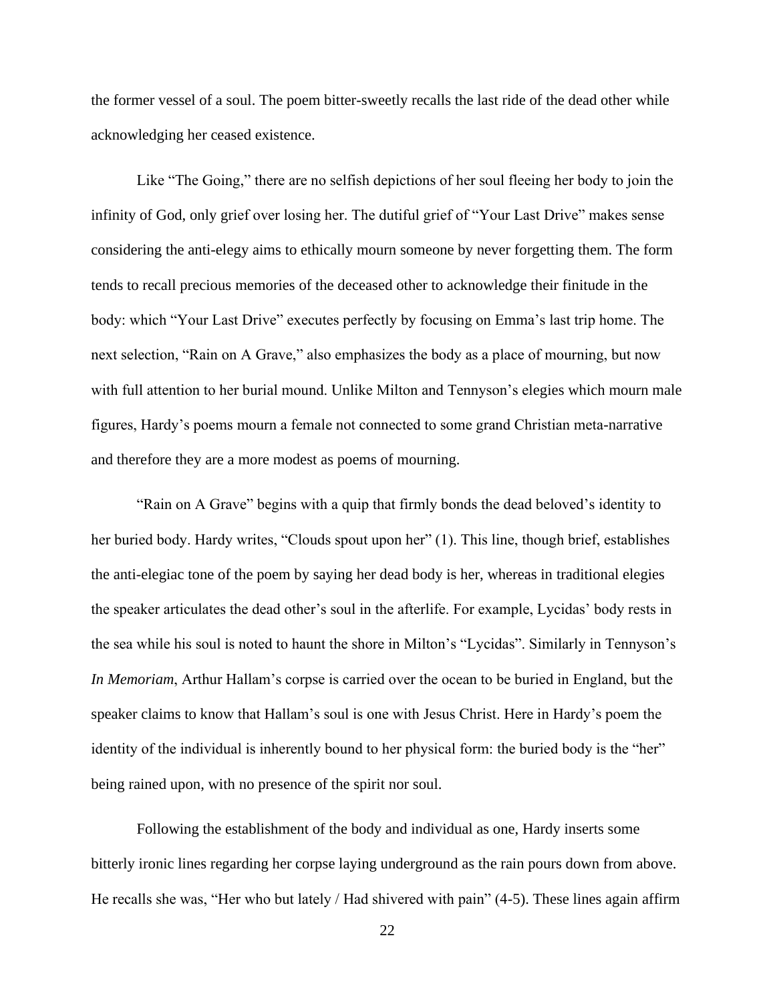the former vessel of a soul. The poem bitter-sweetly recalls the last ride of the dead other while acknowledging her ceased existence.

Like "The Going," there are no selfish depictions of her soul fleeing her body to join the infinity of God, only grief over losing her. The dutiful grief of "Your Last Drive" makes sense considering the anti-elegy aims to ethically mourn someone by never forgetting them. The form tends to recall precious memories of the deceased other to acknowledge their finitude in the body: which "Your Last Drive" executes perfectly by focusing on Emma's last trip home. The next selection, "Rain on A Grave," also emphasizes the body as a place of mourning, but now with full attention to her burial mound. Unlike Milton and Tennyson's elegies which mourn male figures, Hardy's poems mourn a female not connected to some grand Christian meta-narrative and therefore they are a more modest as poems of mourning.

"Rain on A Grave" begins with a quip that firmly bonds the dead beloved's identity to her buried body. Hardy writes, "Clouds spout upon her" (1). This line, though brief, establishes the anti-elegiac tone of the poem by saying her dead body is her, whereas in traditional elegies the speaker articulates the dead other's soul in the afterlife. For example, Lycidas' body rests in the sea while his soul is noted to haunt the shore in Milton's "Lycidas". Similarly in Tennyson's *In Memoriam*, Arthur Hallam's corpse is carried over the ocean to be buried in England, but the speaker claims to know that Hallam's soul is one with Jesus Christ. Here in Hardy's poem the identity of the individual is inherently bound to her physical form: the buried body is the "her" being rained upon, with no presence of the spirit nor soul.

Following the establishment of the body and individual as one, Hardy inserts some bitterly ironic lines regarding her corpse laying underground as the rain pours down from above. He recalls she was, "Her who but lately / Had shivered with pain" (4-5). These lines again affirm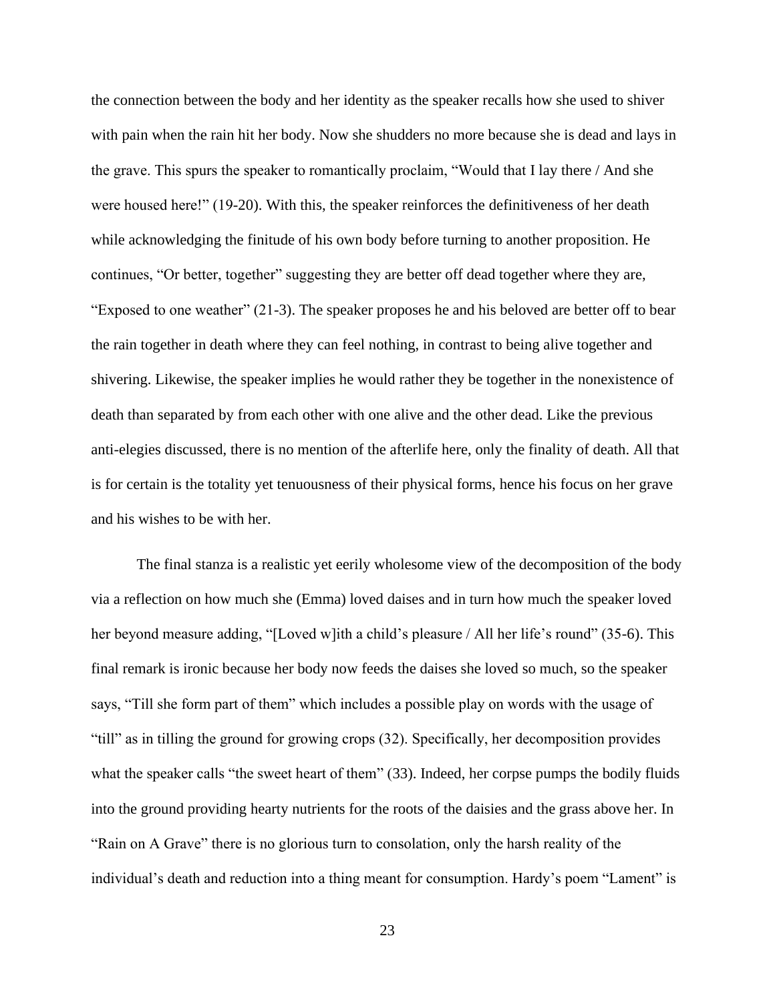the connection between the body and her identity as the speaker recalls how she used to shiver with pain when the rain hit her body. Now she shudders no more because she is dead and lays in the grave. This spurs the speaker to romantically proclaim, "Would that I lay there / And she were housed here!" (19-20). With this, the speaker reinforces the definitiveness of her death while acknowledging the finitude of his own body before turning to another proposition. He continues, "Or better, together" suggesting they are better off dead together where they are, "Exposed to one weather" (21-3). The speaker proposes he and his beloved are better off to bear the rain together in death where they can feel nothing, in contrast to being alive together and shivering. Likewise, the speaker implies he would rather they be together in the nonexistence of death than separated by from each other with one alive and the other dead. Like the previous anti-elegies discussed, there is no mention of the afterlife here, only the finality of death. All that is for certain is the totality yet tenuousness of their physical forms, hence his focus on her grave and his wishes to be with her.

The final stanza is a realistic yet eerily wholesome view of the decomposition of the body via a reflection on how much she (Emma) loved daises and in turn how much the speaker loved her beyond measure adding, "[Loved w]ith a child's pleasure / All her life's round" (35-6). This final remark is ironic because her body now feeds the daises she loved so much, so the speaker says, "Till she form part of them" which includes a possible play on words with the usage of "till" as in tilling the ground for growing crops (32). Specifically, her decomposition provides what the speaker calls "the sweet heart of them" (33). Indeed, her corpse pumps the bodily fluids into the ground providing hearty nutrients for the roots of the daisies and the grass above her. In "Rain on A Grave" there is no glorious turn to consolation, only the harsh reality of the individual's death and reduction into a thing meant for consumption. Hardy's poem "Lament" is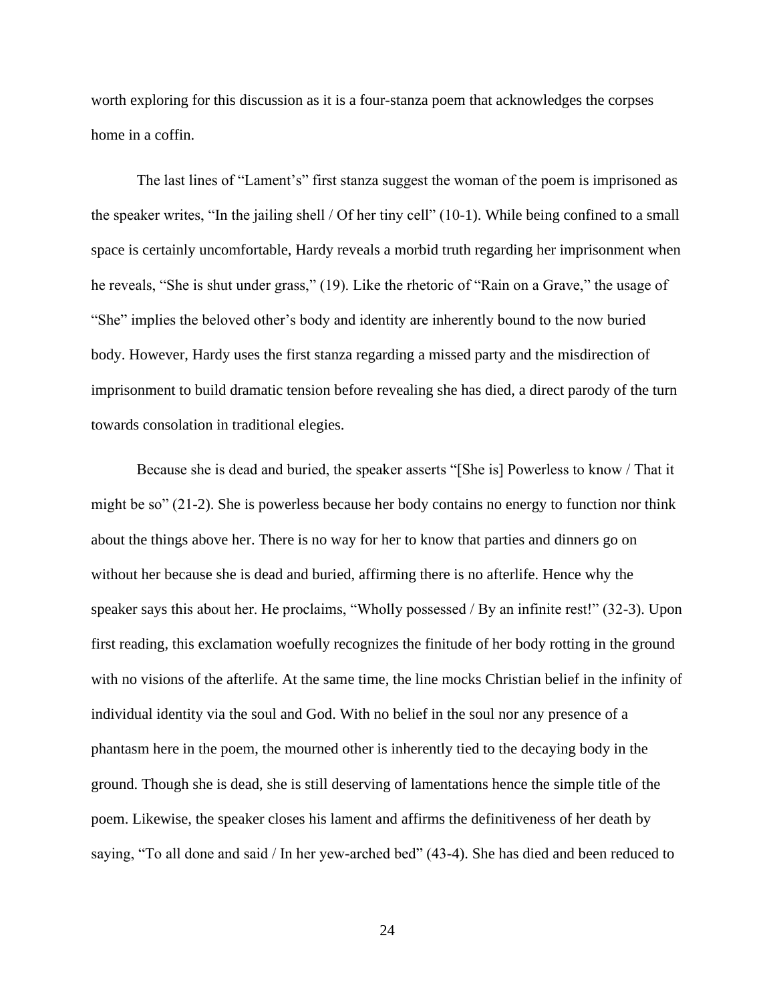worth exploring for this discussion as it is a four-stanza poem that acknowledges the corpses home in a coffin.

The last lines of "Lament's" first stanza suggest the woman of the poem is imprisoned as the speaker writes, "In the jailing shell / Of her tiny cell" (10-1). While being confined to a small space is certainly uncomfortable, Hardy reveals a morbid truth regarding her imprisonment when he reveals, "She is shut under grass," (19). Like the rhetoric of "Rain on a Grave," the usage of "She" implies the beloved other's body and identity are inherently bound to the now buried body. However, Hardy uses the first stanza regarding a missed party and the misdirection of imprisonment to build dramatic tension before revealing she has died, a direct parody of the turn towards consolation in traditional elegies.

Because she is dead and buried, the speaker asserts "[She is] Powerless to know / That it might be so" (21-2). She is powerless because her body contains no energy to function nor think about the things above her. There is no way for her to know that parties and dinners go on without her because she is dead and buried, affirming there is no afterlife. Hence why the speaker says this about her. He proclaims, "Wholly possessed / By an infinite rest!" (32-3). Upon first reading, this exclamation woefully recognizes the finitude of her body rotting in the ground with no visions of the afterlife. At the same time, the line mocks Christian belief in the infinity of individual identity via the soul and God. With no belief in the soul nor any presence of a phantasm here in the poem, the mourned other is inherently tied to the decaying body in the ground. Though she is dead, she is still deserving of lamentations hence the simple title of the poem. Likewise, the speaker closes his lament and affirms the definitiveness of her death by saying, "To all done and said / In her yew-arched bed" (43-4). She has died and been reduced to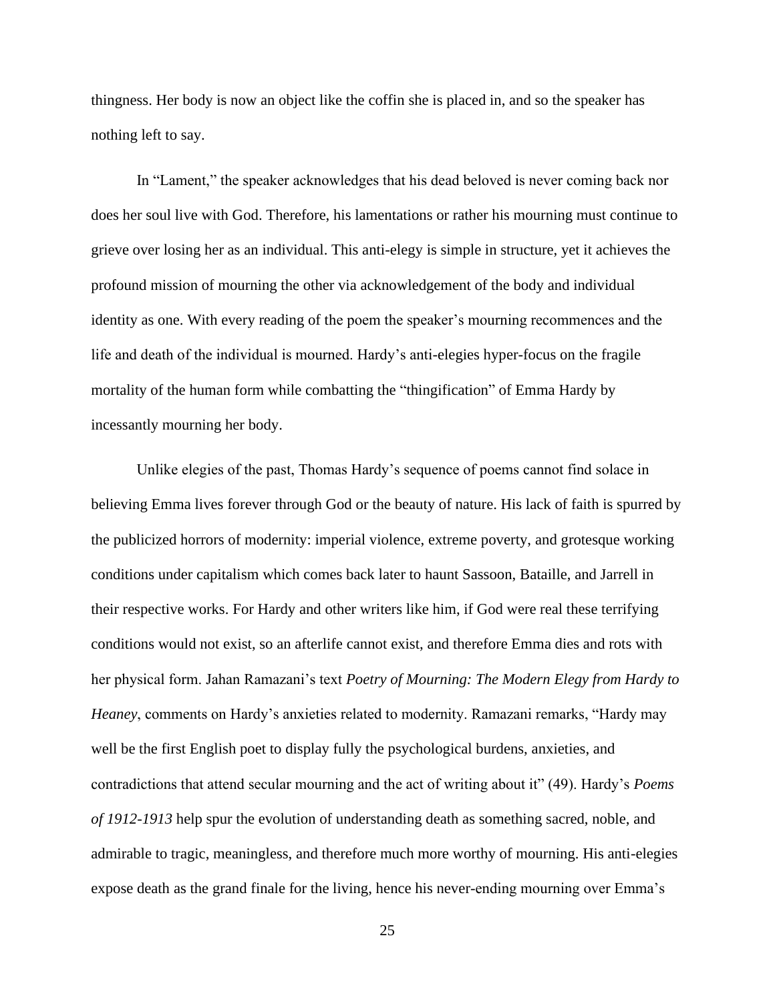thingness. Her body is now an object like the coffin she is placed in, and so the speaker has nothing left to say.

In "Lament," the speaker acknowledges that his dead beloved is never coming back nor does her soul live with God. Therefore, his lamentations or rather his mourning must continue to grieve over losing her as an individual. This anti-elegy is simple in structure, yet it achieves the profound mission of mourning the other via acknowledgement of the body and individual identity as one. With every reading of the poem the speaker's mourning recommences and the life and death of the individual is mourned. Hardy's anti-elegies hyper-focus on the fragile mortality of the human form while combatting the "thingification" of Emma Hardy by incessantly mourning her body.

Unlike elegies of the past, Thomas Hardy's sequence of poems cannot find solace in believing Emma lives forever through God or the beauty of nature. His lack of faith is spurred by the publicized horrors of modernity: imperial violence, extreme poverty, and grotesque working conditions under capitalism which comes back later to haunt Sassoon, Bataille, and Jarrell in their respective works. For Hardy and other writers like him, if God were real these terrifying conditions would not exist, so an afterlife cannot exist, and therefore Emma dies and rots with her physical form. Jahan Ramazani's text *Poetry of Mourning: The Modern Elegy from Hardy to Heaney*, comments on Hardy's anxieties related to modernity. Ramazani remarks, "Hardy may well be the first English poet to display fully the psychological burdens, anxieties, and contradictions that attend secular mourning and the act of writing about it" (49). Hardy's *Poems of 1912-1913* help spur the evolution of understanding death as something sacred, noble, and admirable to tragic, meaningless, and therefore much more worthy of mourning. His anti-elegies expose death as the grand finale for the living, hence his never-ending mourning over Emma's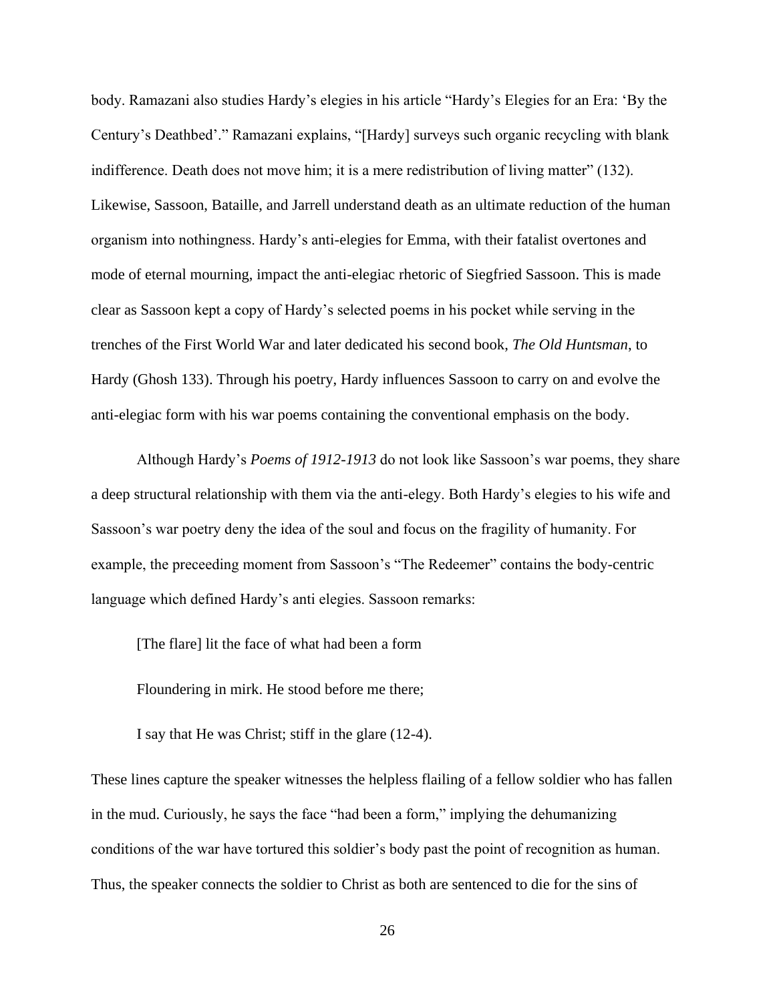body. Ramazani also studies Hardy's elegies in his article "Hardy's Elegies for an Era: 'By the Century's Deathbed'." Ramazani explains, "[Hardy] surveys such organic recycling with blank indifference. Death does not move him; it is a mere redistribution of living matter" (132). Likewise, Sassoon, Bataille, and Jarrell understand death as an ultimate reduction of the human organism into nothingness. Hardy's anti-elegies for Emma, with their fatalist overtones and mode of eternal mourning, impact the anti-elegiac rhetoric of Siegfried Sassoon. This is made clear as Sassoon kept a copy of Hardy's selected poems in his pocket while serving in the trenches of the First World War and later dedicated his second book, *The Old Huntsman*, to Hardy (Ghosh 133). Through his poetry, Hardy influences Sassoon to carry on and evolve the anti-elegiac form with his war poems containing the conventional emphasis on the body.

Although Hardy's *Poems of 1912-1913* do not look like Sassoon's war poems, they share a deep structural relationship with them via the anti-elegy. Both Hardy's elegies to his wife and Sassoon's war poetry deny the idea of the soul and focus on the fragility of humanity. For example, the preceeding moment from Sassoon's "The Redeemer" contains the body-centric language which defined Hardy's anti elegies. Sassoon remarks:

[The flare] lit the face of what had been a form

Floundering in mirk. He stood before me there;

I say that He was Christ; stiff in the glare (12-4).

These lines capture the speaker witnesses the helpless flailing of a fellow soldier who has fallen in the mud. Curiously, he says the face "had been a form," implying the dehumanizing conditions of the war have tortured this soldier's body past the point of recognition as human. Thus, the speaker connects the soldier to Christ as both are sentenced to die for the sins of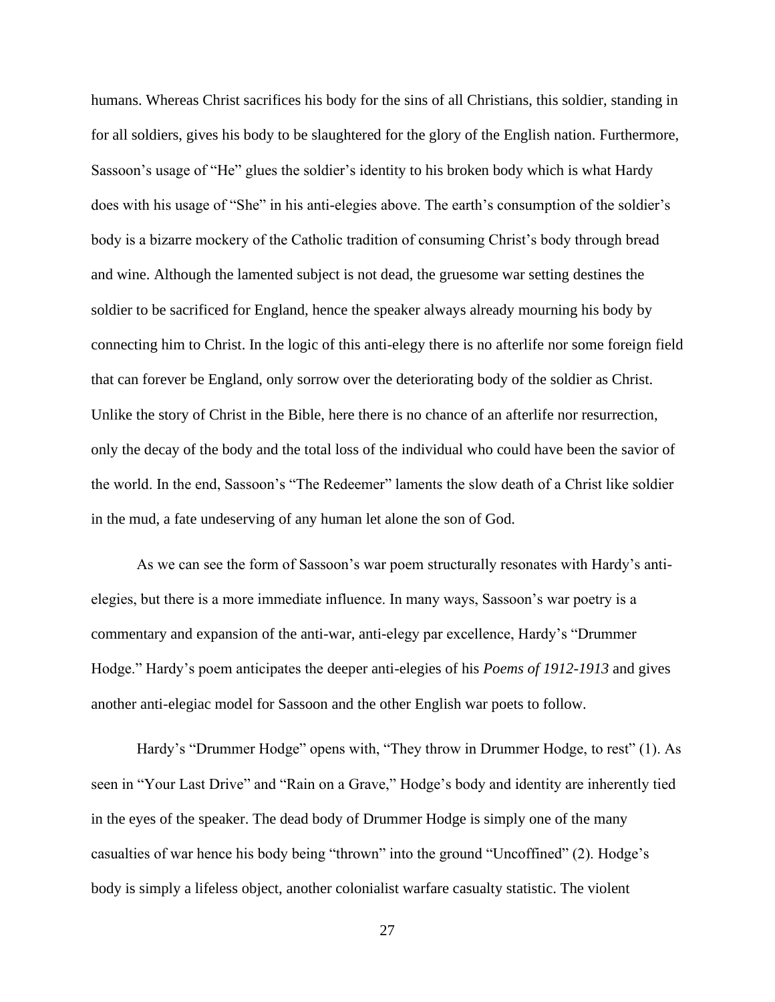humans. Whereas Christ sacrifices his body for the sins of all Christians, this soldier, standing in for all soldiers, gives his body to be slaughtered for the glory of the English nation. Furthermore, Sassoon's usage of "He" glues the soldier's identity to his broken body which is what Hardy does with his usage of "She" in his anti-elegies above. The earth's consumption of the soldier's body is a bizarre mockery of the Catholic tradition of consuming Christ's body through bread and wine. Although the lamented subject is not dead, the gruesome war setting destines the soldier to be sacrificed for England, hence the speaker always already mourning his body by connecting him to Christ. In the logic of this anti-elegy there is no afterlife nor some foreign field that can forever be England, only sorrow over the deteriorating body of the soldier as Christ. Unlike the story of Christ in the Bible, here there is no chance of an afterlife nor resurrection, only the decay of the body and the total loss of the individual who could have been the savior of the world. In the end, Sassoon's "The Redeemer" laments the slow death of a Christ like soldier in the mud, a fate undeserving of any human let alone the son of God.

As we can see the form of Sassoon's war poem structurally resonates with Hardy's antielegies, but there is a more immediate influence. In many ways, Sassoon's war poetry is a commentary and expansion of the anti-war, anti-elegy par excellence, Hardy's "Drummer Hodge." Hardy's poem anticipates the deeper anti-elegies of his *Poems of 1912-1913* and gives another anti-elegiac model for Sassoon and the other English war poets to follow.

Hardy's "Drummer Hodge" opens with, "They throw in Drummer Hodge, to rest" (1). As seen in "Your Last Drive" and "Rain on a Grave," Hodge's body and identity are inherently tied in the eyes of the speaker. The dead body of Drummer Hodge is simply one of the many casualties of war hence his body being "thrown" into the ground "Uncoffined" (2). Hodge's body is simply a lifeless object, another colonialist warfare casualty statistic. The violent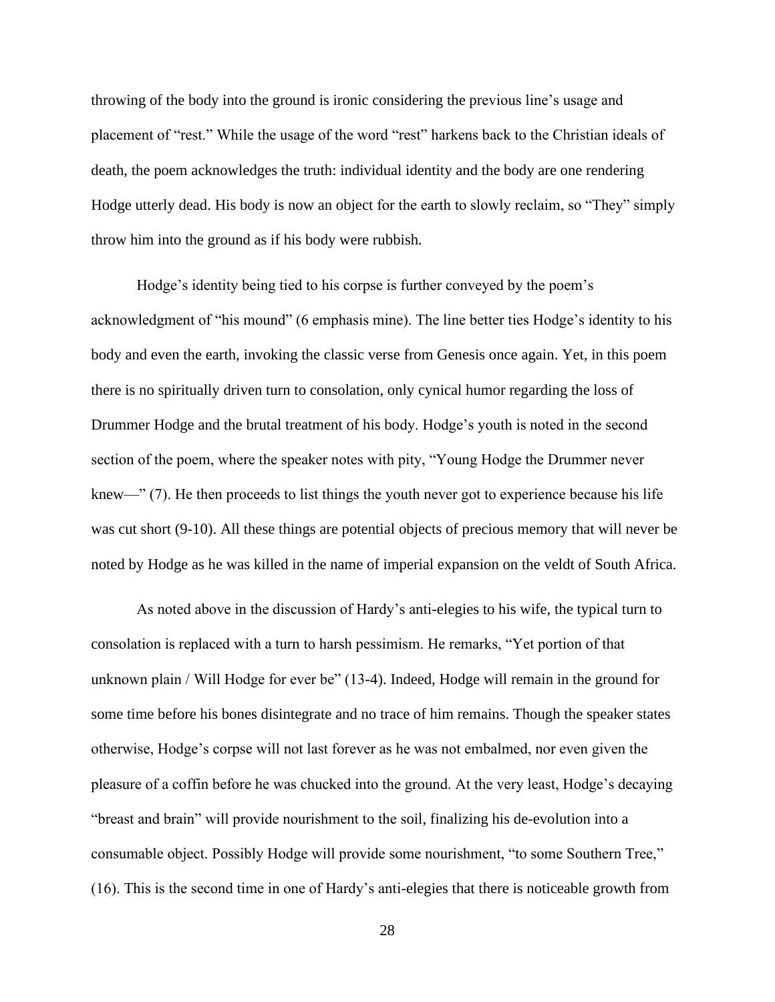throwing of the body into the ground is ironic considering the previous line's usage and placement of "rest." While the usage of the word "rest" harkens back to the Christian ideals of death, the poem acknowledges the truth: individual identity and the body are one rendering Hodge utterly dead. His body is now an object for the earth to slowly reclaim, so "They" simply throw him into the ground as if his body were rubbish.

Hodge's identity being tied to his corpse is further conveyed by the poem's acknowledgment of "his mound" (6 emphasis mine). The line better ties Hodge's identity to his body and even the earth, invoking the classic verse from Genesis once again. Yet, in this poem there is no spiritually driven turn to consolation, only cynical humor regarding the loss of Drummer Hodge and the brutal treatment of his body. Hodge's youth is noted in the second section of the poem, where the speaker notes with pity, "Young Hodge the Drummer never knew—" (7). He then proceeds to list things the youth never got to experience because his life was cut short (9-10). All these things are potential objects of precious memory that will never be noted by Hodge as he was killed in the name of imperial expansion on the veldt of South Africa.

As noted above in the discussion of Hardy's anti-elegies to his wife, the typical turn to consolation is replaced with a turn to harsh pessimism. He remarks, "Yet portion of that unknown plain / Will Hodge for ever be" (13-4). Indeed, Hodge will remain in the ground for some time before his bones disintegrate and no trace of him remains. Though the speaker states otherwise, Hodge's corpse will not last forever as he was not embalmed, nor even given the pleasure of a coffin before he was chucked into the ground. At the very least, Hodge's decaying "breast and brain" will provide nourishment to the soil, finalizing his de-evolution into a consumable object. Possibly Hodge will provide some nourishment, "to some Southern Tree," (16). This is the second time in one of Hardy's anti-elegies that there is noticeable growth from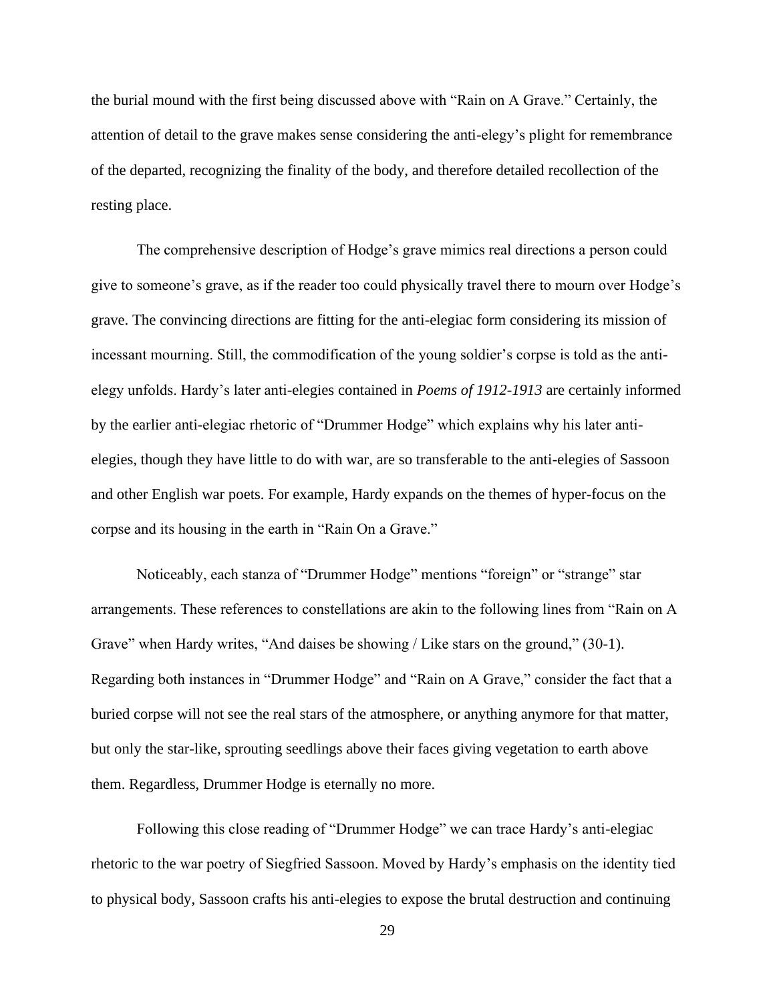the burial mound with the first being discussed above with "Rain on A Grave." Certainly, the attention of detail to the grave makes sense considering the anti-elegy's plight for remembrance of the departed, recognizing the finality of the body, and therefore detailed recollection of the resting place.

The comprehensive description of Hodge's grave mimics real directions a person could give to someone's grave, as if the reader too could physically travel there to mourn over Hodge's grave. The convincing directions are fitting for the anti-elegiac form considering its mission of incessant mourning. Still, the commodification of the young soldier's corpse is told as the antielegy unfolds. Hardy's later anti-elegies contained in *Poems of 1912-1913* are certainly informed by the earlier anti-elegiac rhetoric of "Drummer Hodge" which explains why his later antielegies, though they have little to do with war, are so transferable to the anti-elegies of Sassoon and other English war poets. For example, Hardy expands on the themes of hyper-focus on the corpse and its housing in the earth in "Rain On a Grave."

Noticeably, each stanza of "Drummer Hodge" mentions "foreign" or "strange" star arrangements. These references to constellations are akin to the following lines from "Rain on A Grave" when Hardy writes, "And daises be showing / Like stars on the ground," (30-1). Regarding both instances in "Drummer Hodge" and "Rain on A Grave," consider the fact that a buried corpse will not see the real stars of the atmosphere, or anything anymore for that matter, but only the star-like, sprouting seedlings above their faces giving vegetation to earth above them. Regardless, Drummer Hodge is eternally no more.

Following this close reading of "Drummer Hodge" we can trace Hardy's anti-elegiac rhetoric to the war poetry of Siegfried Sassoon. Moved by Hardy's emphasis on the identity tied to physical body, Sassoon crafts his anti-elegies to expose the brutal destruction and continuing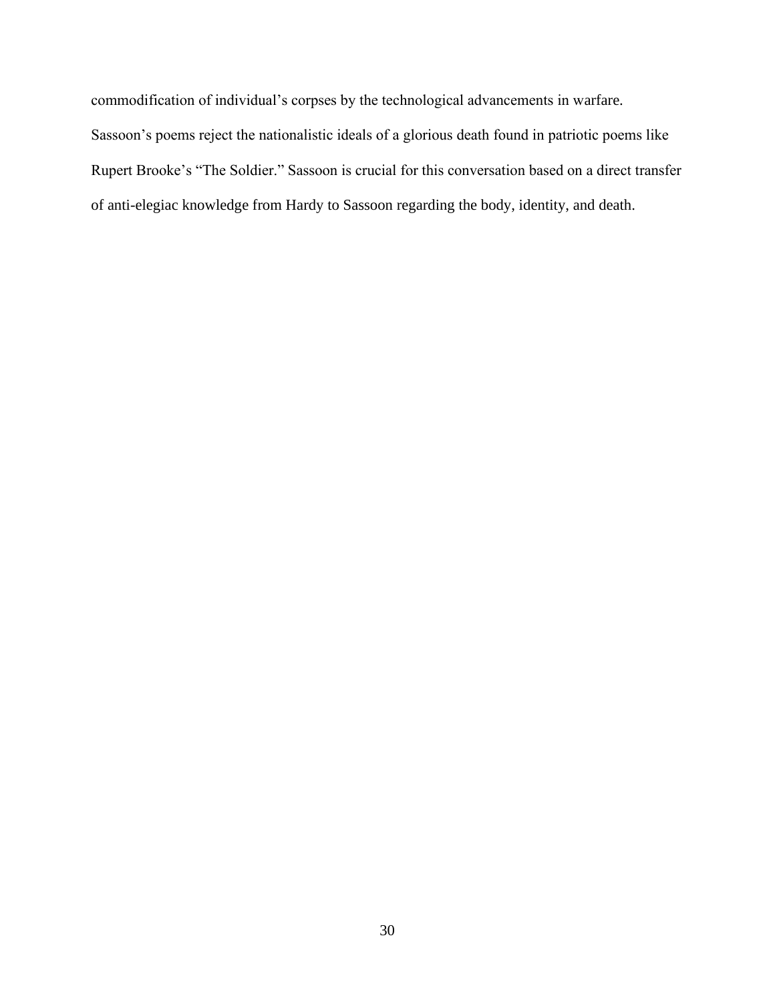commodification of individual's corpses by the technological advancements in warfare. Sassoon's poems reject the nationalistic ideals of a glorious death found in patriotic poems like Rupert Brooke's "The Soldier." Sassoon is crucial for this conversation based on a direct transfer of anti-elegiac knowledge from Hardy to Sassoon regarding the body, identity, and death.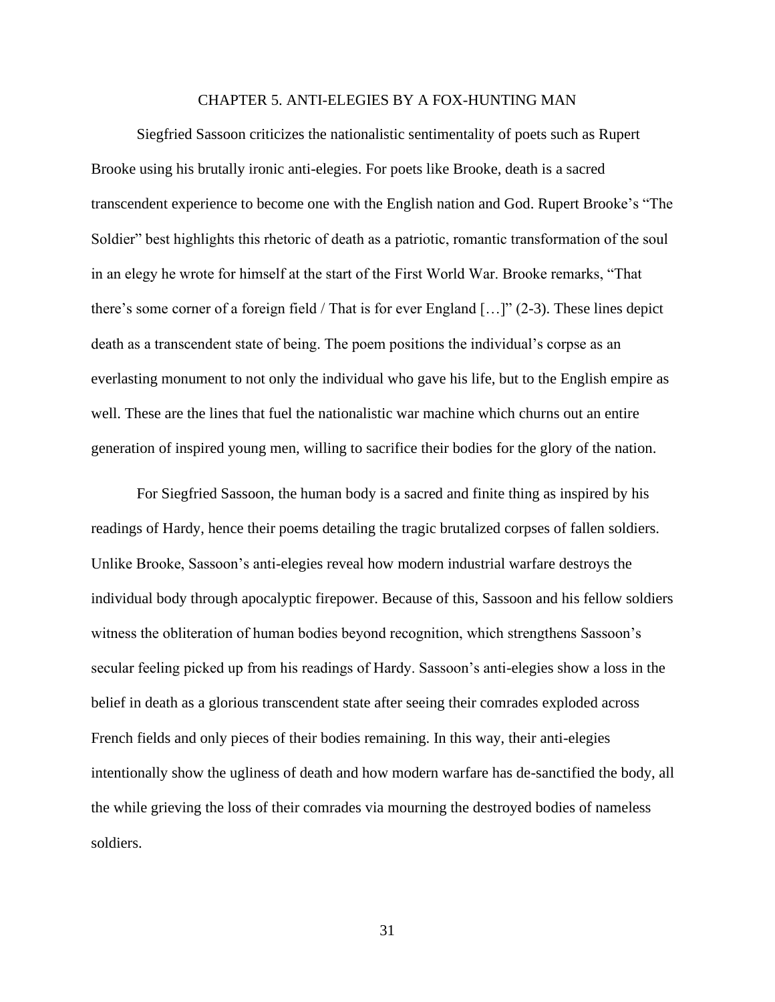#### CHAPTER 5. ANTI-ELEGIES BY A FOX-HUNTING MAN

<span id="page-31-0"></span>Siegfried Sassoon criticizes the nationalistic sentimentality of poets such as Rupert Brooke using his brutally ironic anti-elegies. For poets like Brooke, death is a sacred transcendent experience to become one with the English nation and God. Rupert Brooke's "The Soldier" best highlights this rhetoric of death as a patriotic, romantic transformation of the soul in an elegy he wrote for himself at the start of the First World War. Brooke remarks, "That there's some corner of a foreign field / That is for ever England  $[\dots]$ " (2-3). These lines depict death as a transcendent state of being. The poem positions the individual's corpse as an everlasting monument to not only the individual who gave his life, but to the English empire as well. These are the lines that fuel the nationalistic war machine which churns out an entire generation of inspired young men, willing to sacrifice their bodies for the glory of the nation.

For Siegfried Sassoon, the human body is a sacred and finite thing as inspired by his readings of Hardy, hence their poems detailing the tragic brutalized corpses of fallen soldiers. Unlike Brooke, Sassoon's anti-elegies reveal how modern industrial warfare destroys the individual body through apocalyptic firepower. Because of this, Sassoon and his fellow soldiers witness the obliteration of human bodies beyond recognition, which strengthens Sassoon's secular feeling picked up from his readings of Hardy. Sassoon's anti-elegies show a loss in the belief in death as a glorious transcendent state after seeing their comrades exploded across French fields and only pieces of their bodies remaining. In this way, their anti-elegies intentionally show the ugliness of death and how modern warfare has de-sanctified the body, all the while grieving the loss of their comrades via mourning the destroyed bodies of nameless soldiers.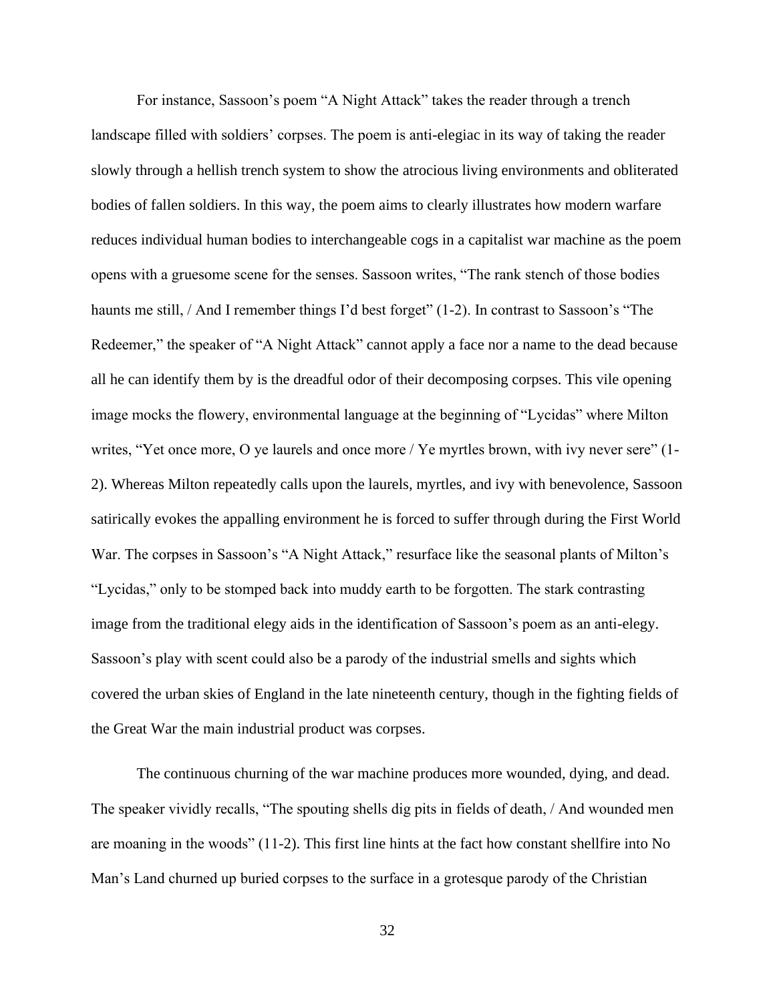For instance, Sassoon's poem "A Night Attack" takes the reader through a trench landscape filled with soldiers' corpses. The poem is anti-elegiac in its way of taking the reader slowly through a hellish trench system to show the atrocious living environments and obliterated bodies of fallen soldiers. In this way, the poem aims to clearly illustrates how modern warfare reduces individual human bodies to interchangeable cogs in a capitalist war machine as the poem opens with a gruesome scene for the senses. Sassoon writes, "The rank stench of those bodies haunts me still, / And I remember things I'd best forget" (1-2). In contrast to Sassoon's "The Redeemer," the speaker of "A Night Attack" cannot apply a face nor a name to the dead because all he can identify them by is the dreadful odor of their decomposing corpses. This vile opening image mocks the flowery, environmental language at the beginning of "Lycidas" where Milton writes, "Yet once more, O ye laurels and once more / Ye myrtles brown, with ivy never sere" (1- 2). Whereas Milton repeatedly calls upon the laurels, myrtles, and ivy with benevolence, Sassoon satirically evokes the appalling environment he is forced to suffer through during the First World War. The corpses in Sassoon's "A Night Attack," resurface like the seasonal plants of Milton's "Lycidas," only to be stomped back into muddy earth to be forgotten. The stark contrasting image from the traditional elegy aids in the identification of Sassoon's poem as an anti-elegy. Sassoon's play with scent could also be a parody of the industrial smells and sights which covered the urban skies of England in the late nineteenth century, though in the fighting fields of the Great War the main industrial product was corpses.

The continuous churning of the war machine produces more wounded, dying, and dead. The speaker vividly recalls, "The spouting shells dig pits in fields of death, / And wounded men are moaning in the woods" (11-2). This first line hints at the fact how constant shellfire into No Man's Land churned up buried corpses to the surface in a grotesque parody of the Christian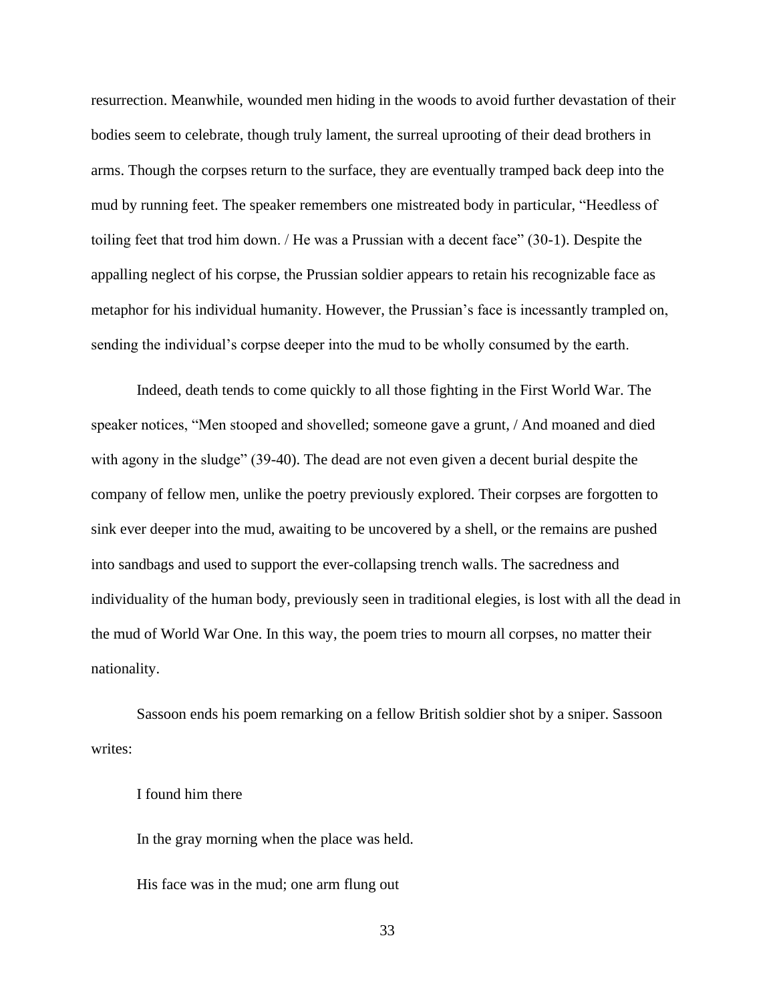resurrection. Meanwhile, wounded men hiding in the woods to avoid further devastation of their bodies seem to celebrate, though truly lament, the surreal uprooting of their dead brothers in arms. Though the corpses return to the surface, they are eventually tramped back deep into the mud by running feet. The speaker remembers one mistreated body in particular, "Heedless of toiling feet that trod him down. / He was a Prussian with a decent face" (30-1). Despite the appalling neglect of his corpse, the Prussian soldier appears to retain his recognizable face as metaphor for his individual humanity. However, the Prussian's face is incessantly trampled on, sending the individual's corpse deeper into the mud to be wholly consumed by the earth.

Indeed, death tends to come quickly to all those fighting in the First World War. The speaker notices, "Men stooped and shovelled; someone gave a grunt, / And moaned and died with agony in the sludge" (39-40). The dead are not even given a decent burial despite the company of fellow men, unlike the poetry previously explored. Their corpses are forgotten to sink ever deeper into the mud, awaiting to be uncovered by a shell, or the remains are pushed into sandbags and used to support the ever-collapsing trench walls. The sacredness and individuality of the human body, previously seen in traditional elegies, is lost with all the dead in the mud of World War One. In this way, the poem tries to mourn all corpses, no matter their nationality.

Sassoon ends his poem remarking on a fellow British soldier shot by a sniper. Sassoon writes:

### I found him there

In the gray morning when the place was held.

His face was in the mud; one arm flung out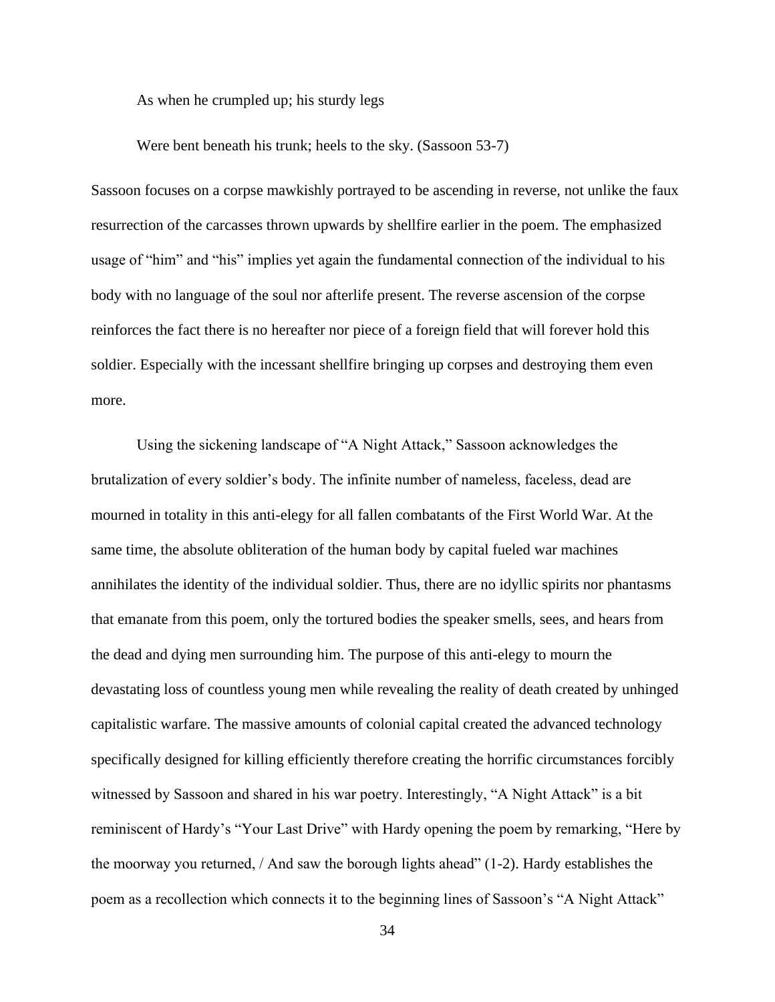As when he crumpled up; his sturdy legs

Were bent beneath his trunk; heels to the sky. (Sassoon 53-7)

Sassoon focuses on a corpse mawkishly portrayed to be ascending in reverse, not unlike the faux resurrection of the carcasses thrown upwards by shellfire earlier in the poem. The emphasized usage of "him" and "his" implies yet again the fundamental connection of the individual to his body with no language of the soul nor afterlife present. The reverse ascension of the corpse reinforces the fact there is no hereafter nor piece of a foreign field that will forever hold this soldier. Especially with the incessant shellfire bringing up corpses and destroying them even more.

Using the sickening landscape of "A Night Attack," Sassoon acknowledges the brutalization of every soldier's body. The infinite number of nameless, faceless, dead are mourned in totality in this anti-elegy for all fallen combatants of the First World War. At the same time, the absolute obliteration of the human body by capital fueled war machines annihilates the identity of the individual soldier. Thus, there are no idyllic spirits nor phantasms that emanate from this poem, only the tortured bodies the speaker smells, sees, and hears from the dead and dying men surrounding him. The purpose of this anti-elegy to mourn the devastating loss of countless young men while revealing the reality of death created by unhinged capitalistic warfare. The massive amounts of colonial capital created the advanced technology specifically designed for killing efficiently therefore creating the horrific circumstances forcibly witnessed by Sassoon and shared in his war poetry. Interestingly, "A Night Attack" is a bit reminiscent of Hardy's "Your Last Drive" with Hardy opening the poem by remarking, "Here by the moorway you returned,  $/$  And saw the borough lights ahead"  $(1-2)$ . Hardy establishes the poem as a recollection which connects it to the beginning lines of Sassoon's "A Night Attack"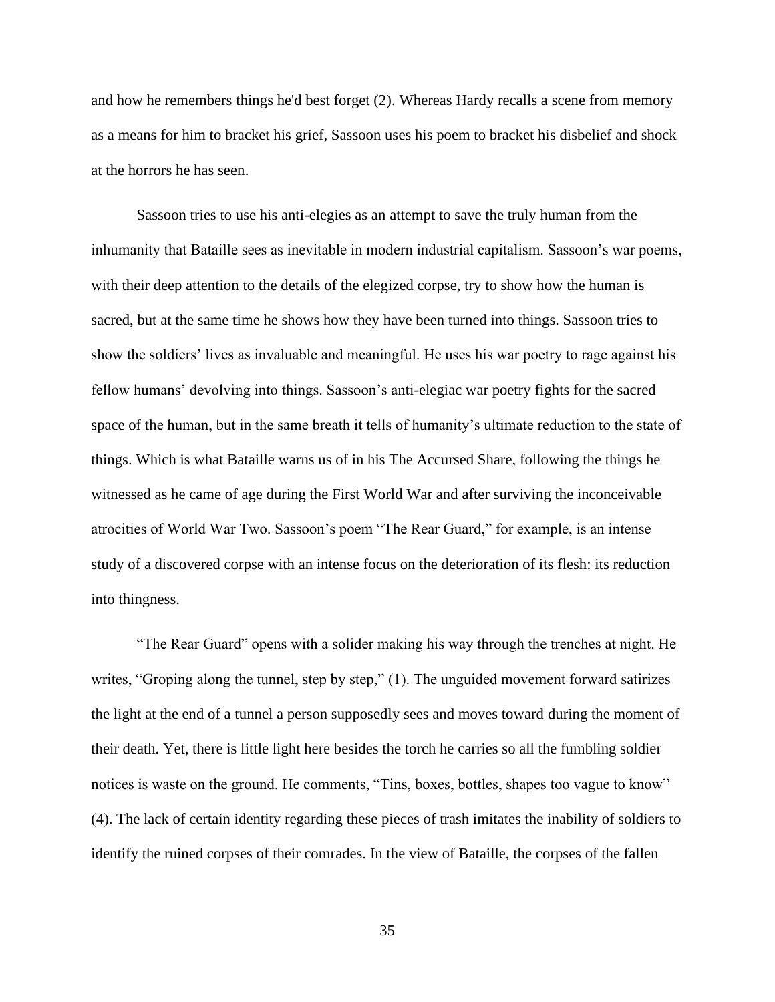and how he remembers things he'd best forget (2). Whereas Hardy recalls a scene from memory as a means for him to bracket his grief, Sassoon uses his poem to bracket his disbelief and shock at the horrors he has seen.

Sassoon tries to use his anti-elegies as an attempt to save the truly human from the inhumanity that Bataille sees as inevitable in modern industrial capitalism. Sassoon's war poems, with their deep attention to the details of the elegized corpse, try to show how the human is sacred, but at the same time he shows how they have been turned into things. Sassoon tries to show the soldiers' lives as invaluable and meaningful. He uses his war poetry to rage against his fellow humans' devolving into things. Sassoon's anti-elegiac war poetry fights for the sacred space of the human, but in the same breath it tells of humanity's ultimate reduction to the state of things. Which is what Bataille warns us of in his The Accursed Share, following the things he witnessed as he came of age during the First World War and after surviving the inconceivable atrocities of World War Two. Sassoon's poem "The Rear Guard," for example, is an intense study of a discovered corpse with an intense focus on the deterioration of its flesh: its reduction into thingness.

"The Rear Guard" opens with a solider making his way through the trenches at night. He writes, "Groping along the tunnel, step by step," (1). The unguided movement forward satirizes the light at the end of a tunnel a person supposedly sees and moves toward during the moment of their death. Yet, there is little light here besides the torch he carries so all the fumbling soldier notices is waste on the ground. He comments, "Tins, boxes, bottles, shapes too vague to know" (4). The lack of certain identity regarding these pieces of trash imitates the inability of soldiers to identify the ruined corpses of their comrades. In the view of Bataille, the corpses of the fallen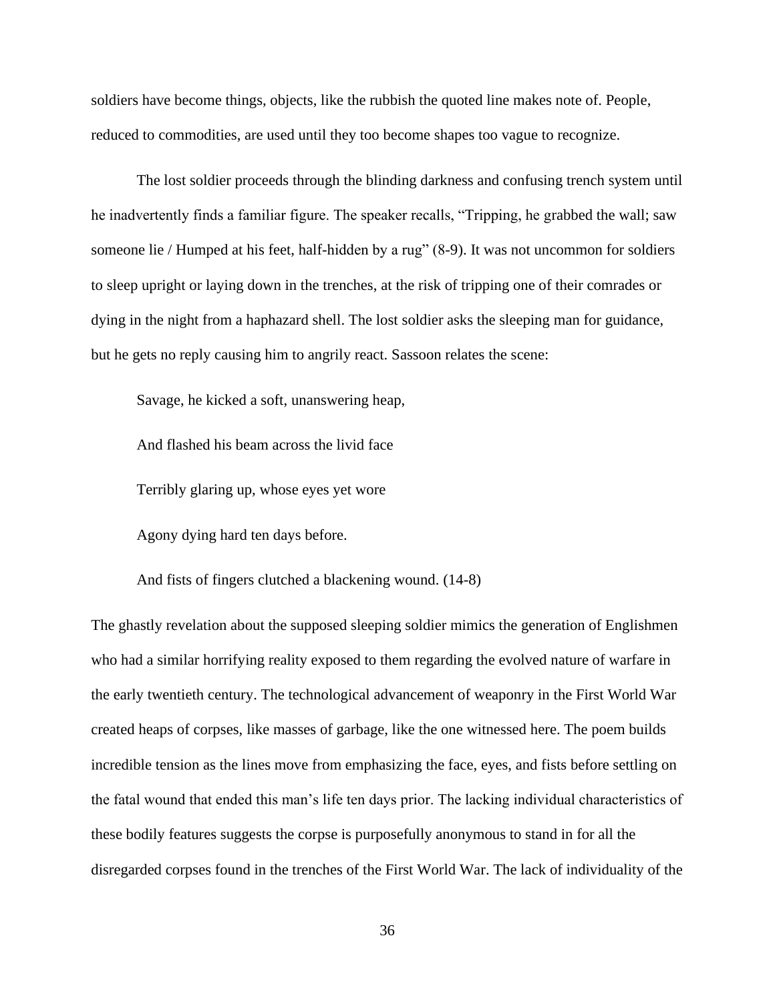soldiers have become things, objects, like the rubbish the quoted line makes note of. People, reduced to commodities, are used until they too become shapes too vague to recognize.

The lost soldier proceeds through the blinding darkness and confusing trench system until he inadvertently finds a familiar figure. The speaker recalls, "Tripping, he grabbed the wall; saw someone lie / Humped at his feet, half-hidden by a rug" (8-9). It was not uncommon for soldiers to sleep upright or laying down in the trenches, at the risk of tripping one of their comrades or dying in the night from a haphazard shell. The lost soldier asks the sleeping man for guidance, but he gets no reply causing him to angrily react. Sassoon relates the scene:

Savage, he kicked a soft, unanswering heap,

And flashed his beam across the livid face

Terribly glaring up, whose eyes yet wore

Agony dying hard ten days before.

And fists of fingers clutched a blackening wound. (14-8)

The ghastly revelation about the supposed sleeping soldier mimics the generation of Englishmen who had a similar horrifying reality exposed to them regarding the evolved nature of warfare in the early twentieth century. The technological advancement of weaponry in the First World War created heaps of corpses, like masses of garbage, like the one witnessed here. The poem builds incredible tension as the lines move from emphasizing the face, eyes, and fists before settling on the fatal wound that ended this man's life ten days prior. The lacking individual characteristics of these bodily features suggests the corpse is purposefully anonymous to stand in for all the disregarded corpses found in the trenches of the First World War. The lack of individuality of the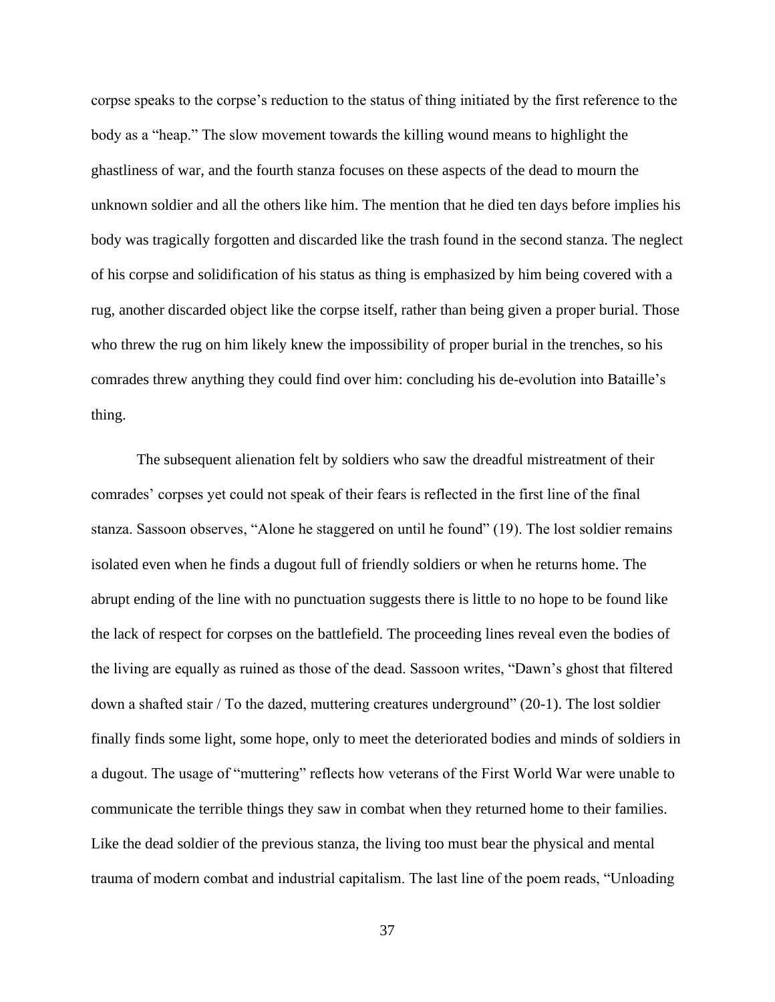corpse speaks to the corpse's reduction to the status of thing initiated by the first reference to the body as a "heap." The slow movement towards the killing wound means to highlight the ghastliness of war, and the fourth stanza focuses on these aspects of the dead to mourn the unknown soldier and all the others like him. The mention that he died ten days before implies his body was tragically forgotten and discarded like the trash found in the second stanza. The neglect of his corpse and solidification of his status as thing is emphasized by him being covered with a rug, another discarded object like the corpse itself, rather than being given a proper burial. Those who threw the rug on him likely knew the impossibility of proper burial in the trenches, so his comrades threw anything they could find over him: concluding his de-evolution into Bataille's thing.

The subsequent alienation felt by soldiers who saw the dreadful mistreatment of their comrades' corpses yet could not speak of their fears is reflected in the first line of the final stanza. Sassoon observes, "Alone he staggered on until he found" (19). The lost soldier remains isolated even when he finds a dugout full of friendly soldiers or when he returns home. The abrupt ending of the line with no punctuation suggests there is little to no hope to be found like the lack of respect for corpses on the battlefield. The proceeding lines reveal even the bodies of the living are equally as ruined as those of the dead. Sassoon writes, "Dawn's ghost that filtered down a shafted stair / To the dazed, muttering creatures underground" (20-1). The lost soldier finally finds some light, some hope, only to meet the deteriorated bodies and minds of soldiers in a dugout. The usage of "muttering" reflects how veterans of the First World War were unable to communicate the terrible things they saw in combat when they returned home to their families. Like the dead soldier of the previous stanza, the living too must bear the physical and mental trauma of modern combat and industrial capitalism. The last line of the poem reads, "Unloading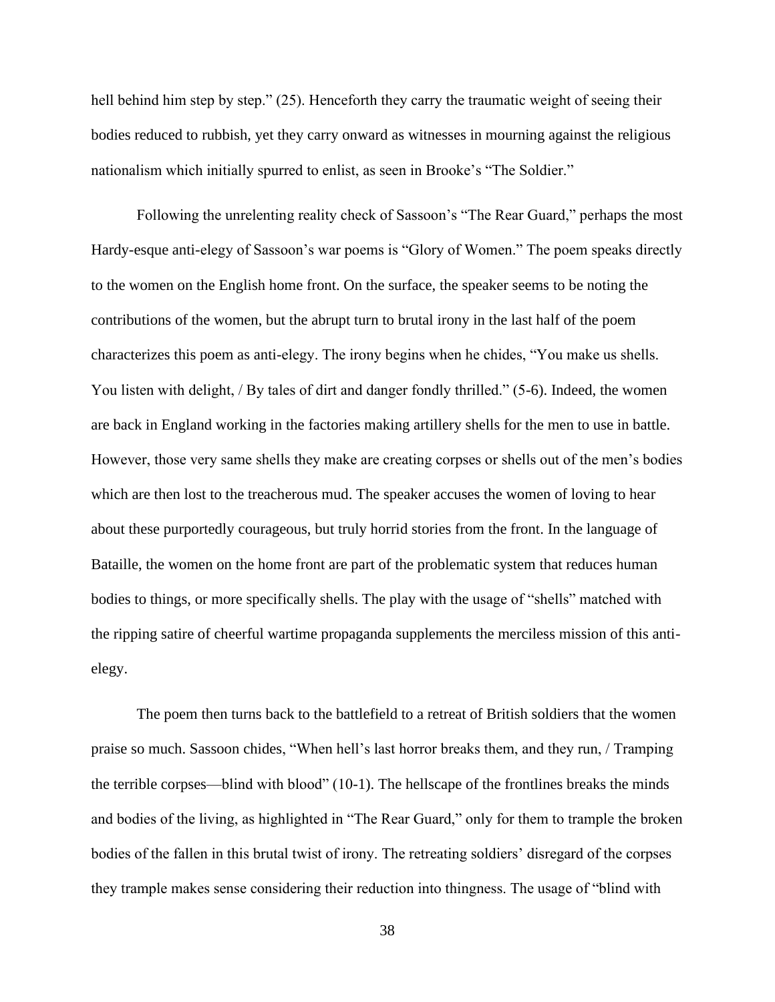hell behind him step by step." (25). Henceforth they carry the traumatic weight of seeing their bodies reduced to rubbish, yet they carry onward as witnesses in mourning against the religious nationalism which initially spurred to enlist, as seen in Brooke's "The Soldier."

Following the unrelenting reality check of Sassoon's "The Rear Guard," perhaps the most Hardy-esque anti-elegy of Sassoon's war poems is "Glory of Women." The poem speaks directly to the women on the English home front. On the surface, the speaker seems to be noting the contributions of the women, but the abrupt turn to brutal irony in the last half of the poem characterizes this poem as anti-elegy. The irony begins when he chides, "You make us shells. You listen with delight, / By tales of dirt and danger fondly thrilled." (5-6). Indeed, the women are back in England working in the factories making artillery shells for the men to use in battle. However, those very same shells they make are creating corpses or shells out of the men's bodies which are then lost to the treacherous mud. The speaker accuses the women of loving to hear about these purportedly courageous, but truly horrid stories from the front. In the language of Bataille, the women on the home front are part of the problematic system that reduces human bodies to things, or more specifically shells. The play with the usage of "shells" matched with the ripping satire of cheerful wartime propaganda supplements the merciless mission of this antielegy.

The poem then turns back to the battlefield to a retreat of British soldiers that the women praise so much. Sassoon chides, "When hell's last horror breaks them, and they run, / Tramping the terrible corpses—blind with blood" (10-1). The hellscape of the frontlines breaks the minds and bodies of the living, as highlighted in "The Rear Guard," only for them to trample the broken bodies of the fallen in this brutal twist of irony. The retreating soldiers' disregard of the corpses they trample makes sense considering their reduction into thingness. The usage of "blind with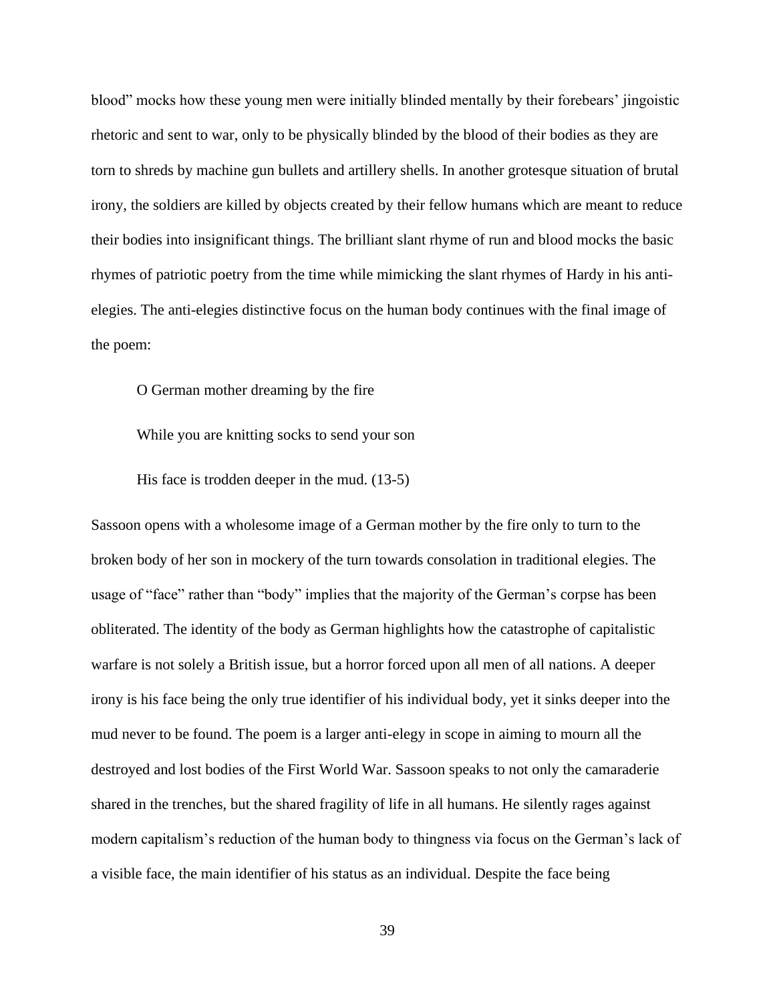blood" mocks how these young men were initially blinded mentally by their forebears' jingoistic rhetoric and sent to war, only to be physically blinded by the blood of their bodies as they are torn to shreds by machine gun bullets and artillery shells. In another grotesque situation of brutal irony, the soldiers are killed by objects created by their fellow humans which are meant to reduce their bodies into insignificant things. The brilliant slant rhyme of run and blood mocks the basic rhymes of patriotic poetry from the time while mimicking the slant rhymes of Hardy in his antielegies. The anti-elegies distinctive focus on the human body continues with the final image of the poem:

O German mother dreaming by the fire

While you are knitting socks to send your son

His face is trodden deeper in the mud. (13-5)

Sassoon opens with a wholesome image of a German mother by the fire only to turn to the broken body of her son in mockery of the turn towards consolation in traditional elegies. The usage of "face" rather than "body" implies that the majority of the German's corpse has been obliterated. The identity of the body as German highlights how the catastrophe of capitalistic warfare is not solely a British issue, but a horror forced upon all men of all nations. A deeper irony is his face being the only true identifier of his individual body, yet it sinks deeper into the mud never to be found. The poem is a larger anti-elegy in scope in aiming to mourn all the destroyed and lost bodies of the First World War. Sassoon speaks to not only the camaraderie shared in the trenches, but the shared fragility of life in all humans. He silently rages against modern capitalism's reduction of the human body to thingness via focus on the German's lack of a visible face, the main identifier of his status as an individual. Despite the face being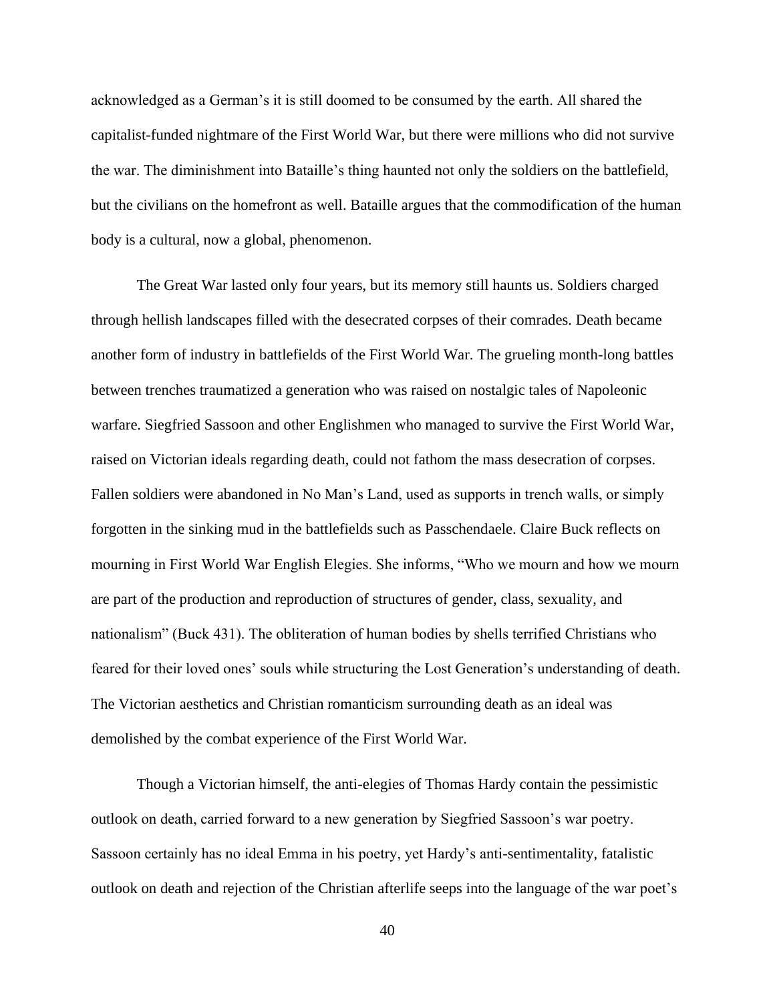acknowledged as a German's it is still doomed to be consumed by the earth. All shared the capitalist-funded nightmare of the First World War, but there were millions who did not survive the war. The diminishment into Bataille's thing haunted not only the soldiers on the battlefield, but the civilians on the homefront as well. Bataille argues that the commodification of the human body is a cultural, now a global, phenomenon.

The Great War lasted only four years, but its memory still haunts us. Soldiers charged through hellish landscapes filled with the desecrated corpses of their comrades. Death became another form of industry in battlefields of the First World War. The grueling month-long battles between trenches traumatized a generation who was raised on nostalgic tales of Napoleonic warfare. Siegfried Sassoon and other Englishmen who managed to survive the First World War, raised on Victorian ideals regarding death, could not fathom the mass desecration of corpses. Fallen soldiers were abandoned in No Man's Land, used as supports in trench walls, or simply forgotten in the sinking mud in the battlefields such as Passchendaele. Claire Buck reflects on mourning in First World War English Elegies. She informs, "Who we mourn and how we mourn are part of the production and reproduction of structures of gender, class, sexuality, and nationalism" (Buck 431). The obliteration of human bodies by shells terrified Christians who feared for their loved ones' souls while structuring the Lost Generation's understanding of death. The Victorian aesthetics and Christian romanticism surrounding death as an ideal was demolished by the combat experience of the First World War.

Though a Victorian himself, the anti-elegies of Thomas Hardy contain the pessimistic outlook on death, carried forward to a new generation by Siegfried Sassoon's war poetry. Sassoon certainly has no ideal Emma in his poetry, yet Hardy's anti-sentimentality, fatalistic outlook on death and rejection of the Christian afterlife seeps into the language of the war poet's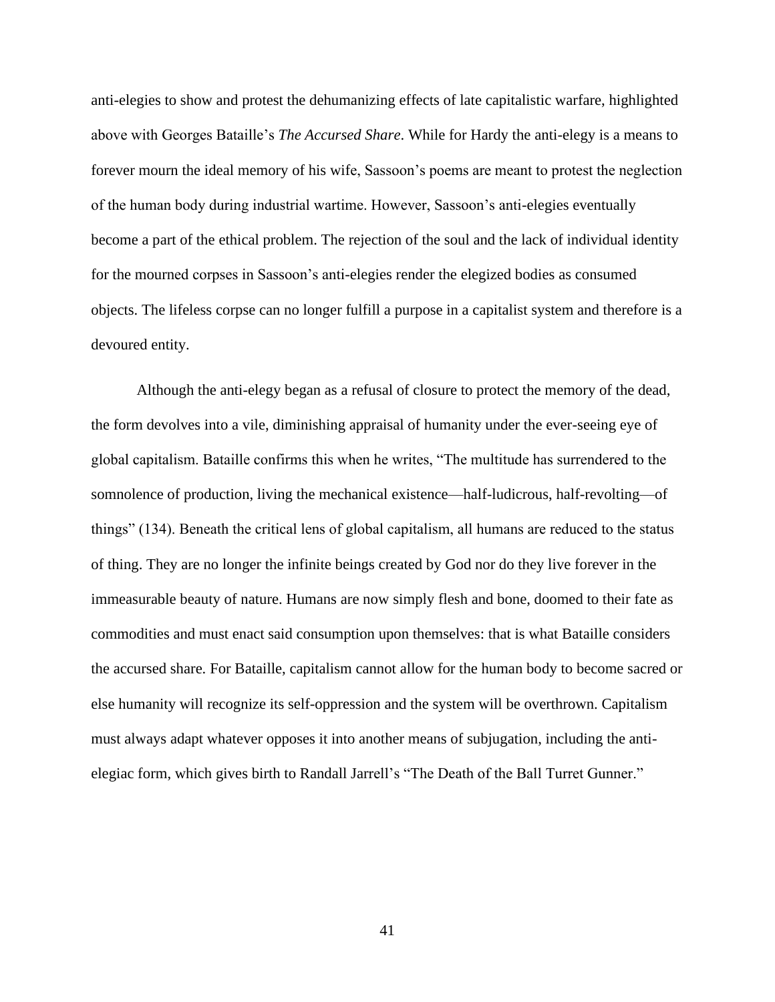anti-elegies to show and protest the dehumanizing effects of late capitalistic warfare, highlighted above with Georges Bataille's *The Accursed Share*. While for Hardy the anti-elegy is a means to forever mourn the ideal memory of his wife, Sassoon's poems are meant to protest the neglection of the human body during industrial wartime. However, Sassoon's anti-elegies eventually become a part of the ethical problem. The rejection of the soul and the lack of individual identity for the mourned corpses in Sassoon's anti-elegies render the elegized bodies as consumed objects. The lifeless corpse can no longer fulfill a purpose in a capitalist system and therefore is a devoured entity.

Although the anti-elegy began as a refusal of closure to protect the memory of the dead, the form devolves into a vile, diminishing appraisal of humanity under the ever-seeing eye of global capitalism. Bataille confirms this when he writes, "The multitude has surrendered to the somnolence of production, living the mechanical existence—half-ludicrous, half-revolting—of things" (134). Beneath the critical lens of global capitalism, all humans are reduced to the status of thing. They are no longer the infinite beings created by God nor do they live forever in the immeasurable beauty of nature. Humans are now simply flesh and bone, doomed to their fate as commodities and must enact said consumption upon themselves: that is what Bataille considers the accursed share. For Bataille, capitalism cannot allow for the human body to become sacred or else humanity will recognize its self-oppression and the system will be overthrown. Capitalism must always adapt whatever opposes it into another means of subjugation, including the antielegiac form, which gives birth to Randall Jarrell's "The Death of the Ball Turret Gunner."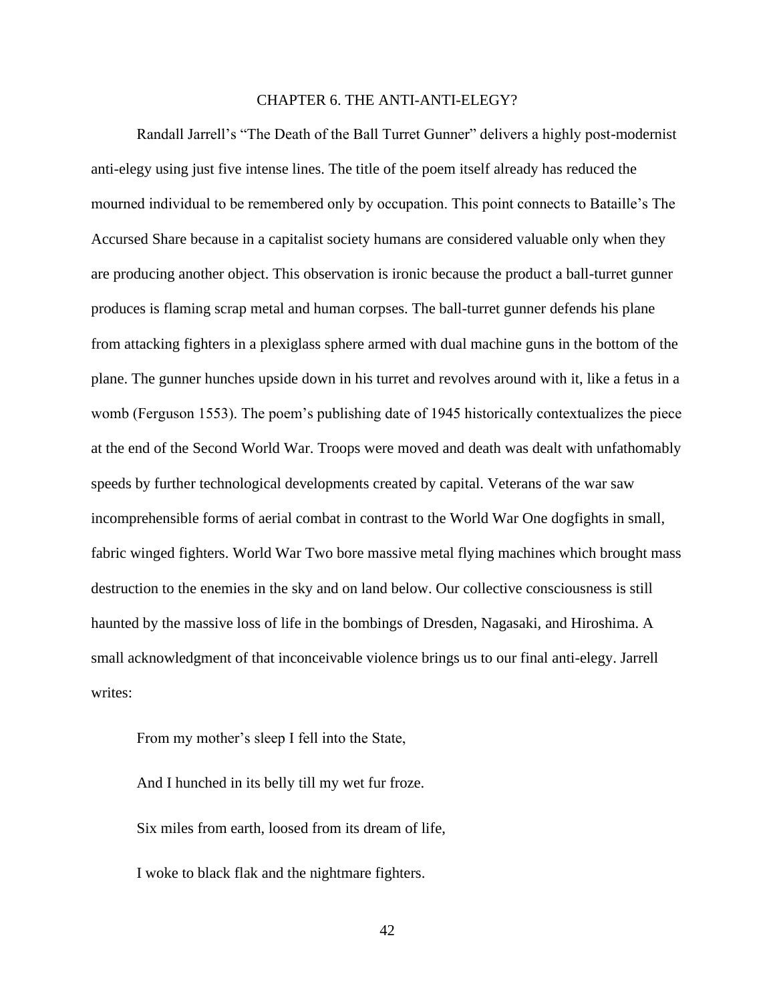### CHAPTER 6. THE ANTI-ANTI-ELEGY?

<span id="page-42-0"></span>Randall Jarrell's "The Death of the Ball Turret Gunner" delivers a highly post-modernist anti-elegy using just five intense lines. The title of the poem itself already has reduced the mourned individual to be remembered only by occupation. This point connects to Bataille's The Accursed Share because in a capitalist society humans are considered valuable only when they are producing another object. This observation is ironic because the product a ball-turret gunner produces is flaming scrap metal and human corpses. The ball-turret gunner defends his plane from attacking fighters in a plexiglass sphere armed with dual machine guns in the bottom of the plane. The gunner hunches upside down in his turret and revolves around with it, like a fetus in a womb (Ferguson 1553). The poem's publishing date of 1945 historically contextualizes the piece at the end of the Second World War. Troops were moved and death was dealt with unfathomably speeds by further technological developments created by capital. Veterans of the war saw incomprehensible forms of aerial combat in contrast to the World War One dogfights in small, fabric winged fighters. World War Two bore massive metal flying machines which brought mass destruction to the enemies in the sky and on land below. Our collective consciousness is still haunted by the massive loss of life in the bombings of Dresden, Nagasaki, and Hiroshima. A small acknowledgment of that inconceivable violence brings us to our final anti-elegy. Jarrell writes:

From my mother's sleep I fell into the State,

And I hunched in its belly till my wet fur froze. Six miles from earth, loosed from its dream of life, I woke to black flak and the nightmare fighters.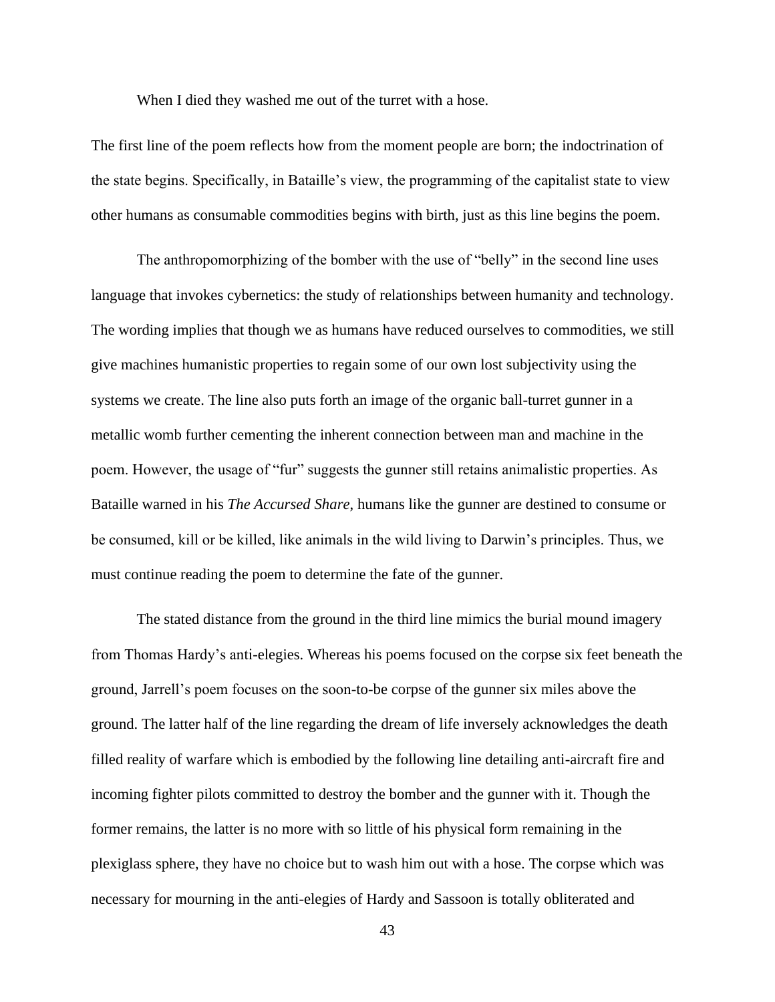When I died they washed me out of the turret with a hose.

The first line of the poem reflects how from the moment people are born; the indoctrination of the state begins. Specifically, in Bataille's view, the programming of the capitalist state to view other humans as consumable commodities begins with birth, just as this line begins the poem.

The anthropomorphizing of the bomber with the use of "belly" in the second line uses language that invokes cybernetics: the study of relationships between humanity and technology. The wording implies that though we as humans have reduced ourselves to commodities, we still give machines humanistic properties to regain some of our own lost subjectivity using the systems we create. The line also puts forth an image of the organic ball-turret gunner in a metallic womb further cementing the inherent connection between man and machine in the poem. However, the usage of "fur" suggests the gunner still retains animalistic properties. As Bataille warned in his *The Accursed Share*, humans like the gunner are destined to consume or be consumed, kill or be killed, like animals in the wild living to Darwin's principles. Thus, we must continue reading the poem to determine the fate of the gunner.

The stated distance from the ground in the third line mimics the burial mound imagery from Thomas Hardy's anti-elegies. Whereas his poems focused on the corpse six feet beneath the ground, Jarrell's poem focuses on the soon-to-be corpse of the gunner six miles above the ground. The latter half of the line regarding the dream of life inversely acknowledges the death filled reality of warfare which is embodied by the following line detailing anti-aircraft fire and incoming fighter pilots committed to destroy the bomber and the gunner with it. Though the former remains, the latter is no more with so little of his physical form remaining in the plexiglass sphere, they have no choice but to wash him out with a hose. The corpse which was necessary for mourning in the anti-elegies of Hardy and Sassoon is totally obliterated and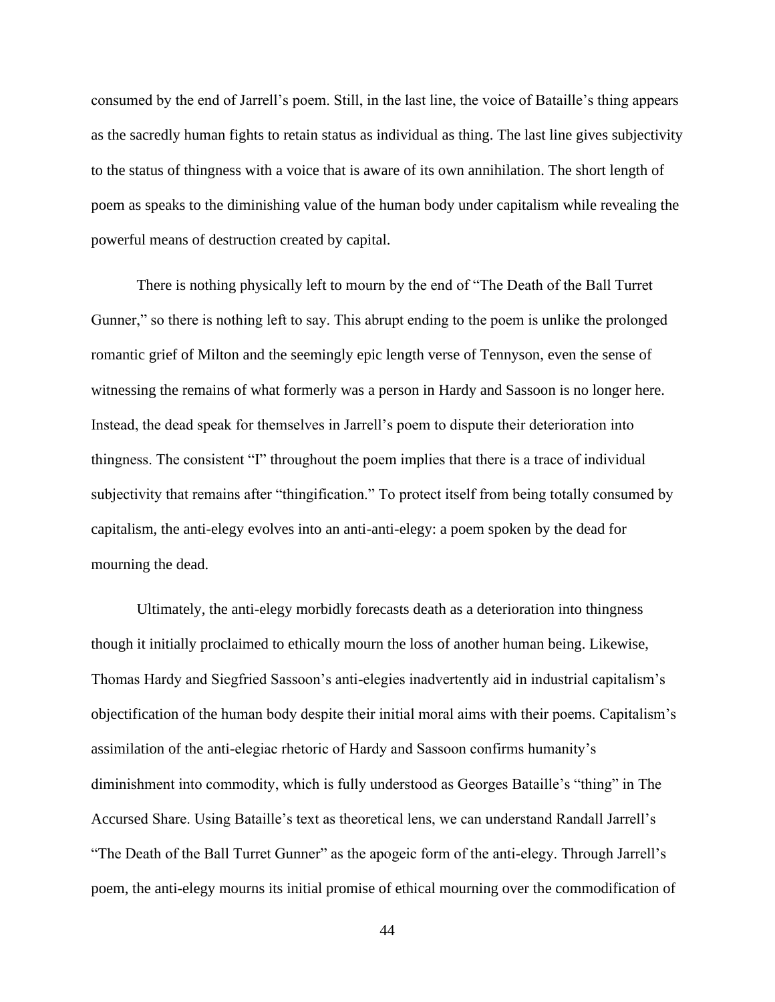consumed by the end of Jarrell's poem. Still, in the last line, the voice of Bataille's thing appears as the sacredly human fights to retain status as individual as thing. The last line gives subjectivity to the status of thingness with a voice that is aware of its own annihilation. The short length of poem as speaks to the diminishing value of the human body under capitalism while revealing the powerful means of destruction created by capital.

There is nothing physically left to mourn by the end of "The Death of the Ball Turret Gunner," so there is nothing left to say. This abrupt ending to the poem is unlike the prolonged romantic grief of Milton and the seemingly epic length verse of Tennyson, even the sense of witnessing the remains of what formerly was a person in Hardy and Sassoon is no longer here. Instead, the dead speak for themselves in Jarrell's poem to dispute their deterioration into thingness. The consistent "I" throughout the poem implies that there is a trace of individual subjectivity that remains after "thingification." To protect itself from being totally consumed by capitalism, the anti-elegy evolves into an anti-anti-elegy: a poem spoken by the dead for mourning the dead.

Ultimately, the anti-elegy morbidly forecasts death as a deterioration into thingness though it initially proclaimed to ethically mourn the loss of another human being. Likewise, Thomas Hardy and Siegfried Sassoon's anti-elegies inadvertently aid in industrial capitalism's objectification of the human body despite their initial moral aims with their poems. Capitalism's assimilation of the anti-elegiac rhetoric of Hardy and Sassoon confirms humanity's diminishment into commodity, which is fully understood as Georges Bataille's "thing" in The Accursed Share. Using Bataille's text as theoretical lens, we can understand Randall Jarrell's "The Death of the Ball Turret Gunner" as the apogeic form of the anti-elegy. Through Jarrell's poem, the anti-elegy mourns its initial promise of ethical mourning over the commodification of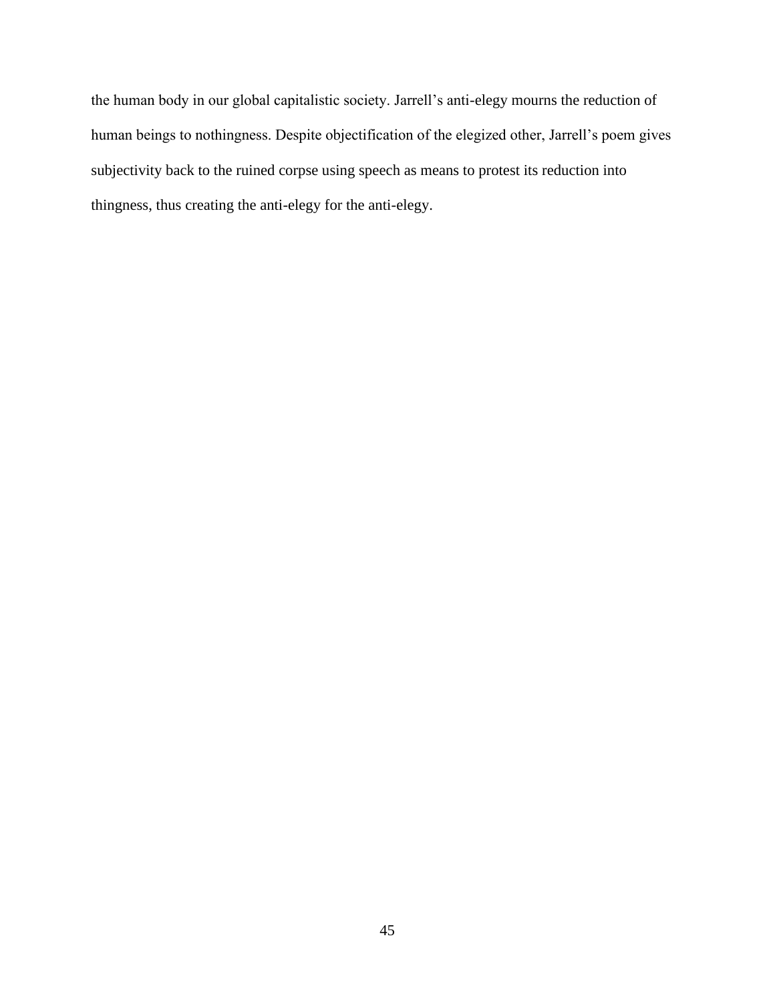the human body in our global capitalistic society. Jarrell's anti-elegy mourns the reduction of human beings to nothingness. Despite objectification of the elegized other, Jarrell's poem gives subjectivity back to the ruined corpse using speech as means to protest its reduction into thingness, thus creating the anti-elegy for the anti-elegy.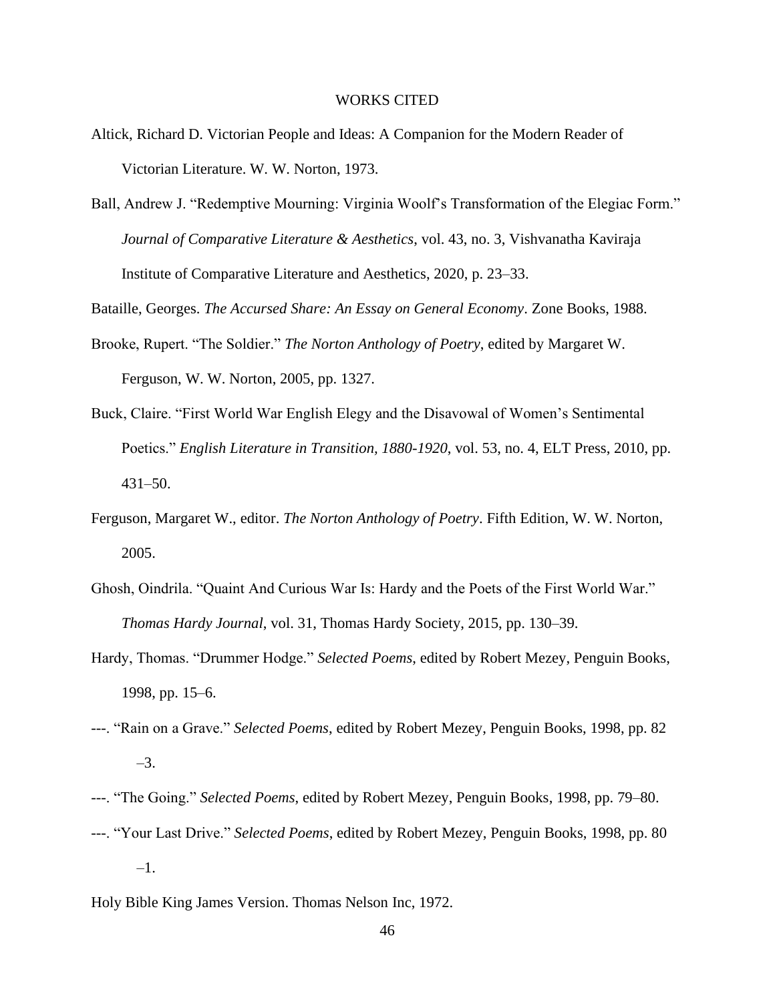#### WORKS CITED

- <span id="page-46-0"></span>Altick, Richard D. Victorian People and Ideas: A Companion for the Modern Reader of Victorian Literature. W. W. Norton, 1973.
- Ball, Andrew J. "Redemptive Mourning: Virginia Woolf's Transformation of the Elegiac Form." *Journal of Comparative Literature & Aesthetics*, vol. 43, no. 3, Vishvanatha Kaviraja Institute of Comparative Literature and Aesthetics, 2020, p. 23–33.

Bataille, Georges. *The Accursed Share: An Essay on General Economy*. Zone Books, 1988.

- Brooke, Rupert. "The Soldier." *The Norton Anthology of Poetry*, edited by Margaret W. Ferguson, W. W. Norton, 2005, pp. 1327.
- Buck, Claire. "First World War English Elegy and the Disavowal of Women's Sentimental Poetics." *English Literature in Transition, 1880-1920*, vol. 53, no. 4, ELT Press, 2010, pp. 431–50.
- Ferguson, Margaret W., editor. *The Norton Anthology of Poetry*. Fifth Edition, W. W. Norton, 2005.
- Ghosh, Oindrila. "Quaint And Curious War Is: Hardy and the Poets of the First World War." *Thomas Hardy Journal*, vol. 31, Thomas Hardy Society, 2015, pp. 130–39.
- Hardy, Thomas. "Drummer Hodge." *Selected Poems*, edited by Robert Mezey, Penguin Books, 1998, pp. 15–6.
- ---. "Rain on a Grave." *Selected Poems*, edited by Robert Mezey, Penguin Books, 1998, pp. 82 –3.
- ---. "The Going." *Selected Poems*, edited by Robert Mezey, Penguin Books, 1998, pp. 79–80.
- ---. "Your Last Drive." *Selected Poems*, edited by Robert Mezey, Penguin Books, 1998, pp. 80 –1.
- Holy Bible King James Version. Thomas Nelson Inc, 1972.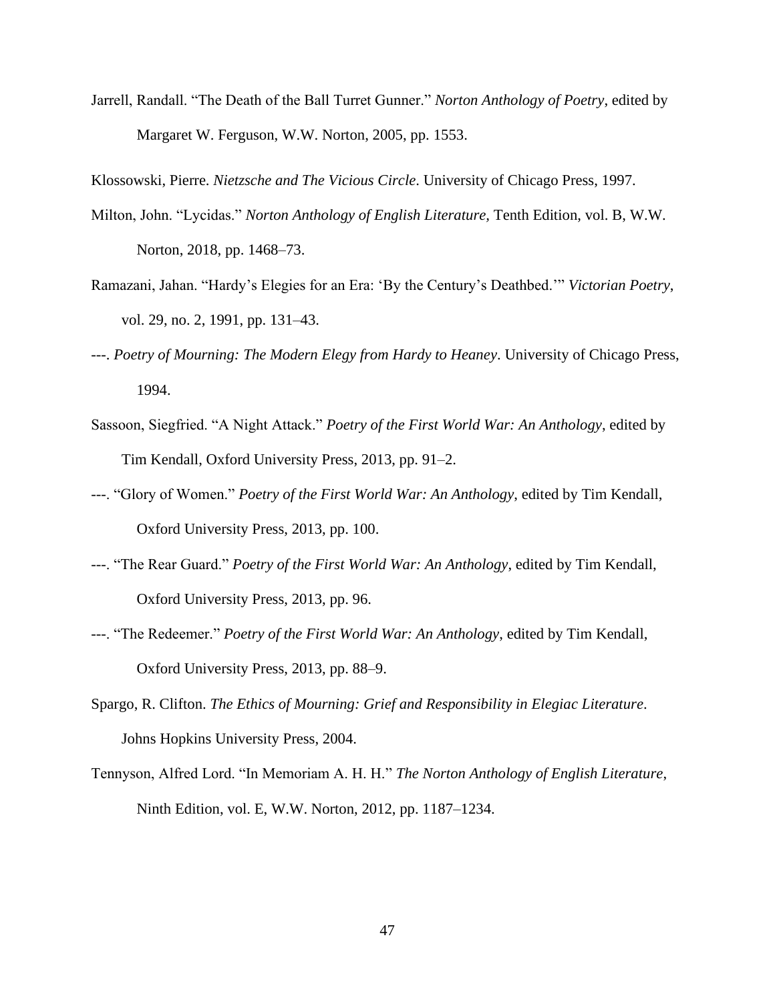Jarrell, Randall. "The Death of the Ball Turret Gunner." *Norton Anthology of Poetry*, edited by Margaret W. Ferguson, W.W. Norton, 2005, pp. 1553.

Klossowski, Pierre. *Nietzsche and The Vicious Circle*. University of Chicago Press, 1997.

- Milton, John. "Lycidas." *Norton Anthology of English Literature,* Tenth Edition, vol. B, W.W. Norton, 2018, pp. 1468–73.
- Ramazani, Jahan. "Hardy's Elegies for an Era: 'By the Century's Deathbed.'" *Victorian Poetry*, vol. 29, no. 2, 1991, pp. 131–43.
- ---. *Poetry of Mourning: The Modern Elegy from Hardy to Heaney*. University of Chicago Press, 1994.
- Sassoon, Siegfried. "A Night Attack." *Poetry of the First World War: An Anthology*, edited by Tim Kendall, Oxford University Press, 2013, pp. 91–2.
- ---. "Glory of Women." *Poetry of the First World War: An Anthology*, edited by Tim Kendall, Oxford University Press, 2013, pp. 100.
- ---. "The Rear Guard." *Poetry of the First World War: An Anthology*, edited by Tim Kendall, Oxford University Press, 2013, pp. 96.
- ---. "The Redeemer." *Poetry of the First World War: An Anthology*, edited by Tim Kendall, Oxford University Press, 2013, pp. 88–9.
- Spargo, R. Clifton. *The Ethics of Mourning: Grief and Responsibility in Elegiac Literature*. Johns Hopkins University Press, 2004.
- Tennyson, Alfred Lord. "In Memoriam A. H. H." *The Norton Anthology of English Literature*, Ninth Edition, vol. E, W.W. Norton, 2012, pp. 1187–1234.